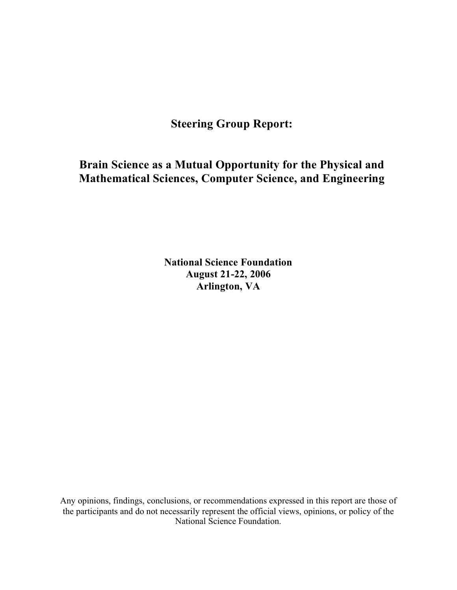**Steering Group Report:**

# **Brain Science as a Mutual Opportunity for the Physical and Mathematical Sciences, Computer Science, and Engineering**

**National Science Foundation August 21-22, 2006 Arlington, VA**

Any opinions, findings, conclusions, or recommendations expressed in this report are those of the participants and do not necessarily represent the official views, opinions, or policy of the National Science Foundation.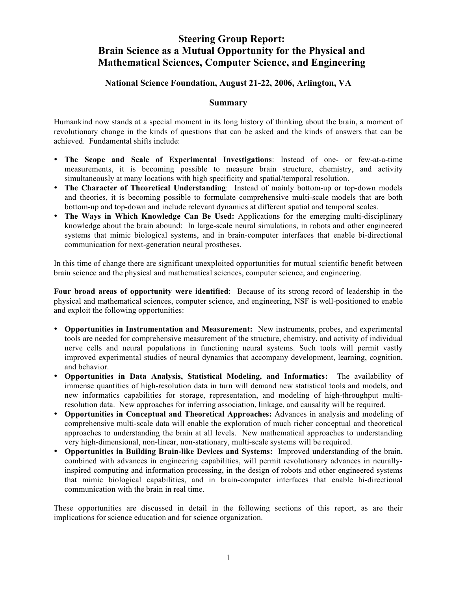## **Steering Group Report: Brain Science as a Mutual Opportunity for the Physical and Mathematical Sciences, Computer Science, and Engineering**

## **National Science Foundation, August 21-22, 2006, Arlington, VA**

#### **Summary**

Humankind now stands at a special moment in its long history of thinking about the brain, a moment of revolutionary change in the kinds of questions that can be asked and the kinds of answers that can be achieved. Fundamental shifts include:

- **The Scope and Scale of Experimental Investigations**: Instead of one- or few-at-a-time measurements, it is becoming possible to measure brain structure, chemistry, and activity simultaneously at many locations with high specificity and spatial/temporal resolution.
- **The Character of Theoretical Understanding**: Instead of mainly bottom-up or top-down models and theories, it is becoming possible to formulate comprehensive multi-scale models that are both bottom-up and top-down and include relevant dynamics at different spatial and temporal scales.
- **The Ways in Which Knowledge Can Be Used:** Applications for the emerging multi-disciplinary knowledge about the brain abound: In large-scale neural simulations, in robots and other engineered systems that mimic biological systems, and in brain-computer interfaces that enable bi-directional communication for next-generation neural prostheses.

In this time of change there are significant unexploited opportunities for mutual scientific benefit between brain science and the physical and mathematical sciences, computer science, and engineering.

**Four broad areas of opportunity were identified**: Because of its strong record of leadership in the physical and mathematical sciences, computer science, and engineering, NSF is well-positioned to enable and exploit the following opportunities:

- **Opportunities in Instrumentation and Measurement:** New instruments, probes, and experimental tools are needed for comprehensive measurement of the structure, chemistry, and activity of individual nerve cells and neural populations in functioning neural systems. Such tools will permit vastly improved experimental studies of neural dynamics that accompany development, learning, cognition, and behavior.
- **Opportunities in Data Analysis, Statistical Modeling, and Informatics:** The availability of immense quantities of high-resolution data in turn will demand new statistical tools and models, and new informatics capabilities for storage, representation, and modeling of high-throughput multiresolution data. New approaches for inferring association, linkage, and causality will be required.
- **Opportunities in Conceptual and Theoretical Approaches:** Advances in analysis and modeling of comprehensive multi-scale data will enable the exploration of much richer conceptual and theoretical approaches to understanding the brain at all levels. New mathematical approaches to understanding very high-dimensional, non-linear, non-stationary, multi-scale systems will be required.
- **Opportunities in Building Brain-like Devices and Systems:** Improved understanding of the brain, combined with advances in engineering capabilities, will permit revolutionary advances in neurallyinspired computing and information processing, in the design of robots and other engineered systems that mimic biological capabilities, and in brain-computer interfaces that enable bi-directional communication with the brain in real time.

These opportunities are discussed in detail in the following sections of this report, as are their implications for science education and for science organization.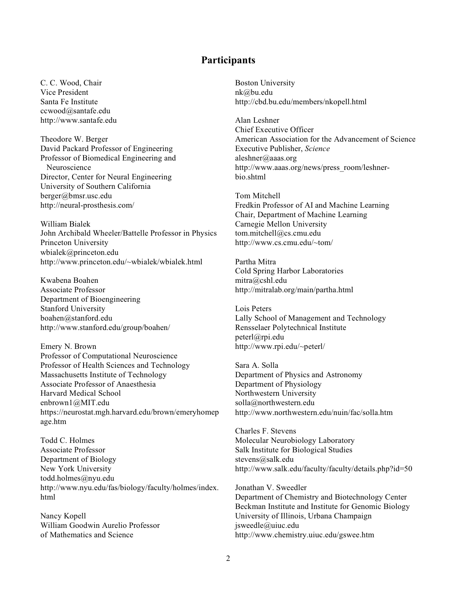## **Participants**

C. C. Wood, Chair Vice President Santa Fe Institute [ccwood@santafe.edu](mailto:ccwood@santafe.edu) <http://www.santafe.edu>

Theodore W. Berger David Packard Professor of Engineering Professor of Biomedical Engineering and Neuroscience Director, Center for Neural Engineering University of Southern California [berger@bmsr.usc.edu](mailto:berger@bmsr.usc.edu) [http://neural-prosthesis.com/](http://neural-prosthesis.com)

William Bialek John Archibald Wheeler/Battelle Professor in Physics Princeton University [wbialek@princeton.edu](mailto:wbialek@princeton.edu) <http://www.princeton.edu/~wbialek/wbialek.html>

Kwabena Boahen Associate Professor Department of Bioengineering Stanford University [boahen@stanford.edu](mailto:boahen@stanford.edu) [http://www.stanford.edu/group/boahen/](http://www.stanford.edu/group/boahen)

Emery N. Brown Professor of Computational Neuroscience Professor of Health Sciences and Technology Massachusetts Institute of Technology Associate Professor of Anaesthesia Harvard Medical School [enbrown1@MIT.edu](mailto:enbrown1@MIT.edu) <https://neurostat.mgh.harvard.edu/brown/emeryhomep> age.htm

Todd C. Holmes Associate Professor Department of Biology New York University todd.[holmes@nyu.edu](mailto:holmes@nyu.edu) [http://www.nyu.edu/fas/biology/faculty/holmes/index.](http://www.nyu.edu/fas/biology/faculty/holmes/index) html

Nancy Kopell William Goodwin Aurelio Professor of Mathematics and Science

Boston University [nk@bu.edu](mailto:nk@bu.edu) <http://cbd.bu.edu/members/nkopell.html>

Alan Leshner Chief Executive Officer American Association for the Advancement of Science Executive Publisher, *Science* [aleshner@aaas.org](mailto:aleshner@aaas.org) [http://www.aaas.org/news/press\\_room/leshner](http://www.aaas.org/news/press_room/leshner-bio.shtml)bio.[shtml](http://www.aaas.org/news/press_room/leshner-bio.shtml)

Tom Mitchell Fredkin Professor of AI and Machine Learning Chair, Department of Machine Learning Carnegie Mellon University tom.[mitchell@cs.cmu.edu](mailto:mitchell@cs.cmu.edu) [http://www.cs.cmu.edu/~tom/](http://www.cs.cmu.edu/~tom)

Partha Mitra Cold Spring Harbor Laboratories [mitra@cshl.edu](mailto:mitra@cshl.edu) <http://mitralab.org/main/partha.html>

Lois Peters Lally School of Management and Technology Rensselaer Polytechnical Institute [peterl@rpi.edu](mailto:peterl@rpi.edu) [http://www.rpi.edu/~peterl/](http://www.rpi.edu/~peterl)

Sara A. Solla Department of Physics and Astronomy Department of Physiology Northwestern University [solla@northwestern.edu](mailto:solla@northwestern.edu) <http://www.northwestern.edu/nuin/fac/solla.htm>

Charles F. Stevens Molecular Neurobiology Laboratory Salk Institute for Biological Studies [stevens@salk.edu](mailto:stevens@salk.edu) <http://www.salk.edu/faculty/faculty/details.php?id=50>

Jonathan V. Sweedler Department of Chemistry and Biotechnology Center Beckman Institute and Institute for Genomic Biology University of Illinois, Urbana Champaign [jsweedle@uiuc.edu](mailto:jsweedle@uiuc.edu) <http://www.chemistry.uiuc.edu/gswee.htm>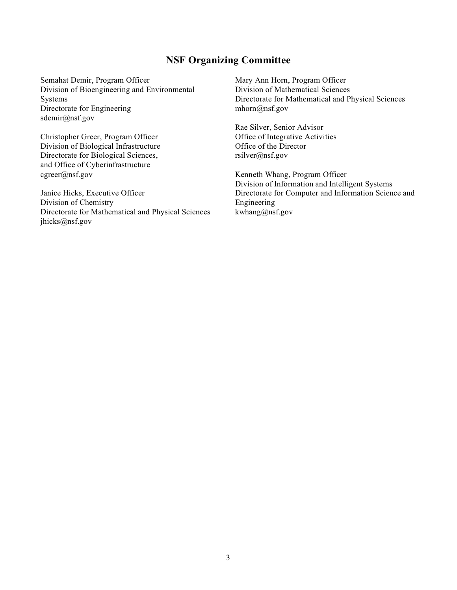## **NSF Organizing Committee**

Semahat Demir, Program Officer Division of Bioengineering and Environmental Systems Directorate for Engineering [sdemir@nsf.gov](mailto:sdemir@nsf.gov)

Christopher Greer, Program Officer Division of Biological Infrastructure Directorate for Biological Sciences, and Office of Cyberinfrastructure [cgreer@nsf.gov](mailto:cgreer@nsf.gov)

Janice Hicks, Executive Officer Division of Chemistry Directorate for Mathematical and Physical Sciences [jhicks@nsf.gov](mailto:jhicks@nsf.gov)

Mary Ann Horn, Program Officer Division of Mathematical Sciences Directorate for Mathematical and Physical Sciences [mhorn@nsf.gov](mailto:mhorn@nsf.gov)

Rae Silver, Senior Advisor Office of Integrative Activities Office of the Director [rsilver@nsf.gov](mailto:rsilver@nsf.gov)

Kenneth Whang, Program Officer Division of Information and Intelligent Systems Directorate for Computer and Information Science and Engineering [kwhang@nsf.gov](mailto:kwhang@nsf.gov)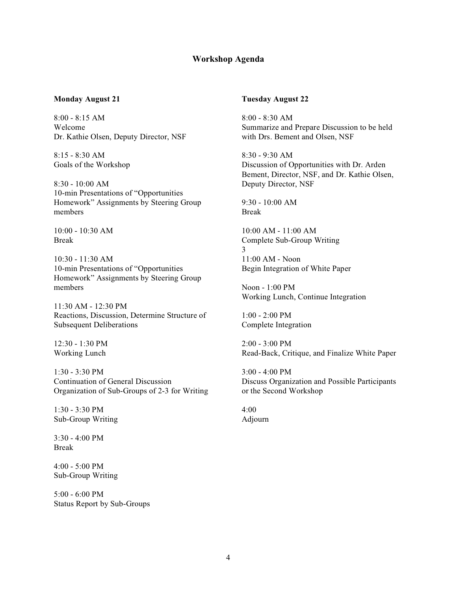#### **Workshop Agenda**

#### **Monday August 21**

8:00 - 8:15 AM Welcome Dr. Kathie Olsen, Deputy Director, NSF

8:15 - 8:30 AM Goals of the Workshop

8:30 - 10:00 AM 10-min Presentations of "Opportunities Homework" Assignments by Steering Group members

10:00 - 10:30 AM Break

10:30 - 11:30 AM 10-min Presentations of "Opportunities Homework" Assignments by Steering Group members

11:30 AM - 12:30 PM Reactions, Discussion, Determine Structure of Subsequent Deliberations

12:30 - 1:30 PM Working Lunch

1:30 - 3:30 PM Continuation of General Discussion Organization of Sub-Groups of 2-3 for Writing

1:30 - 3:30 PM Sub-Group Writing

3:30 - 4:00 PM Break

4:00 - 5:00 PM Sub-Group Writing

5:00 - 6:00 PM Status Report by Sub-Groups

#### **Tuesday August 22**

8:00 - 8:30 AM Summarize and Prepare Discussion to be held with Drs. Bement and Olsen, NSF

8:30 - 9:30 AM Discussion of Opportunities with Dr. Arden Bement, Director, NSF, and Dr. Kathie Olsen, Deputy Director, NSF

9:30 - 10:00 AM Break

10:00 AM - 11:00 AM Complete Sub-Group Writing 3 11:00 AM - Noon Begin Integration of White Paper

Noon - 1:00 PM Working Lunch, Continue Integration

 $1:00 - 2:00$  PM Complete Integration

2:00 - 3:00 PM Read-Back, Critique, and Finalize White Paper

3:00 - 4:00 PM Discuss Organization and Possible Participants or the Second Workshop

4:00 Adjourn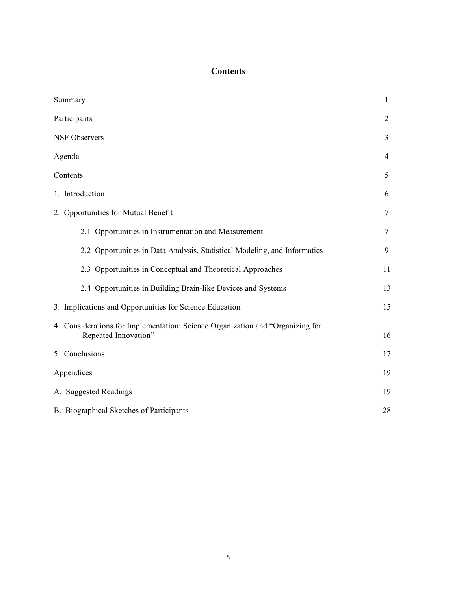## **Contents**

| Summary                                                                                                | 1  |
|--------------------------------------------------------------------------------------------------------|----|
| Participants                                                                                           | 2  |
| <b>NSF Observers</b>                                                                                   | 3  |
| Agenda                                                                                                 | 4  |
| Contents                                                                                               | 5  |
| 1. Introduction                                                                                        | 6  |
| 2. Opportunities for Mutual Benefit                                                                    | 7  |
| 2.1 Opportunities in Instrumentation and Measurement                                                   | 7  |
| 2.2 Opportunities in Data Analysis, Statistical Modeling, and Informatics                              | 9  |
| 2.3 Opportunities in Conceptual and Theoretical Approaches                                             | 11 |
| 2.4 Opportunities in Building Brain-like Devices and Systems                                           | 13 |
| 3. Implications and Opportunities for Science Education                                                | 15 |
| 4. Considerations for Implementation: Science Organization and "Organizing for<br>Repeated Innovation" | 16 |
| 5. Conclusions                                                                                         | 17 |
| Appendices                                                                                             | 19 |
| A. Suggested Readings                                                                                  | 19 |
| B. Biographical Sketches of Participants                                                               | 28 |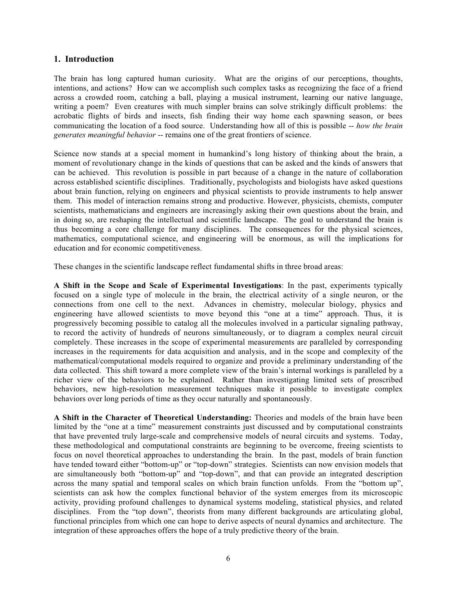### **1. Introduction**

The brain has long captured human curiosity. What are the origins of our perceptions, thoughts, intentions, and actions? How can we accomplish such complex tasks as recognizing the face of a friend across a crowded room, catching a ball, playing a musical instrument, learning our native language, writing a poem? Even creatures with much simpler brains can solve strikingly difficult problems: the acrobatic flights of birds and insects, fish finding their way home each spawning season, or bees communicating the location of a food source. Understanding how all of this is possible -- *how the brain generates meaningful behavior* -- remains one of the great frontiers of science.

Science now stands at a special moment in humankind's long history of thinking about the brain, a moment of revolutionary change in the kinds of questions that can be asked and the kinds of answers that can be achieved. This revolution is possible in part because of a change in the nature of collaboration across established scientific disciplines. Traditionally, psychologists and biologists have asked questions about brain function, relying on engineers and physical scientists to provide instruments to help answer them. This model of interaction remains strong and productive. However, physicists, chemists, computer scientists, mathematicians and engineers are increasingly asking their own questions about the brain, and in doing so, are reshaping the intellectual and scientific landscape. The goal to understand the brain is thus becoming a core challenge for many disciplines. The consequences for the physical sciences, mathematics, computational science, and engineering will be enormous, as will the implications for education and for economic competitiveness.

These changes in the scientific landscape reflect fundamental shifts in three broad areas:

**A Shift in the Scope and Scale of Experimental Investigations**: In the past, experiments typically focused on a single type of molecule in the brain, the electrical activity of a single neuron, or the connections from one cell to the next. Advances in chemistry, molecular biology, physics and engineering have allowed scientists to move beyond this "one at a time" approach. Thus, it is progressively becoming possible to catalog all the molecules involved in a particular signaling pathway, to record the activity of hundreds of neurons simultaneously, or to diagram a complex neural circuit completely. These increases in the scope of experimental measurements are paralleled by corresponding increases in the requirements for data acquisition and analysis, and in the scope and complexity of the mathematical/computational models required to organize and provide a preliminary understanding of the data collected. This shift toward a more complete view of the brain's internal workings is paralleled by a richer view of the behaviors to be explained. Rather than investigating limited sets of proscribed behaviors, new high-resolution measurement techniques make it possible to investigate complex behaviors over long periods of time as they occur naturally and spontaneously.

**A Shift in the Character of Theoretical Understanding:** Theories and models of the brain have been limited by the "one at a time" measurement constraints just discussed and by computational constraints that have prevented truly large-scale and comprehensive models of neural circuits and systems. Today, these methodological and computational constraints are beginning to be overcome, freeing scientists to focus on novel theoretical approaches to understanding the brain. In the past, models of brain function have tended toward either "bottom-up" or "top-down" strategies. Scientists can now envision models that are simultaneously both "bottom-up" and "top-down", and that can provide an integrated description across the many spatial and temporal scales on which brain function unfolds. From the "bottom up", scientists can ask how the complex functional behavior of the system emerges from its microscopic activity, providing profound challenges to dynamical systems modeling, statistical physics, and related disciplines. From the "top down", theorists from many different backgrounds are articulating global, functional principles from which one can hope to derive aspects of neural dynamics and architecture. The integration of these approaches offers the hope of a truly predictive theory of the brain.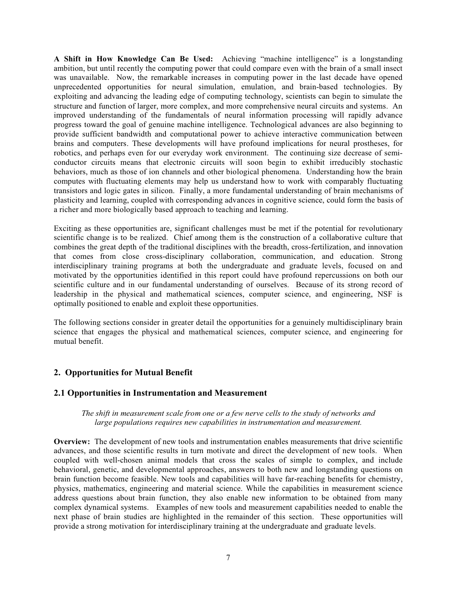**A Shift in How Knowledge Can Be Used:** Achieving "machine intelligence" is a longstanding ambition, but until recently the computing power that could compare even with the brain of a small insect was unavailable. Now, the remarkable increases in computing power in the last decade have opened unprecedented opportunities for neural simulation, emulation, and brain-based technologies. By exploiting and advancing the leading edge of computing technology, scientists can begin to simulate the structure and function of larger, more complex, and more comprehensive neural circuits and systems. An improved understanding of the fundamentals of neural information processing will rapidly advance progress toward the goal of genuine machine intelligence. Technological advances are also beginning to provide sufficient bandwidth and computational power to achieve interactive communication between brains and computers. These developments will have profound implications for neural prostheses, for robotics, and perhaps even for our everyday work environment. The continuing size decrease of semiconductor circuits means that electronic circuits will soon begin to exhibit irreducibly stochastic behaviors, much as those of ion channels and other biological phenomena. Understanding how the brain computes with fluctuating elements may help us understand how to work with comparably fluctuating transistors and logic gates in silicon. Finally, a more fundamental understanding of brain mechanisms of plasticity and learning, coupled with corresponding advances in cognitive science, could form the basis of a richer and more biologically based approach to teaching and learning.

Exciting as these opportunities are, significant challenges must be met if the potential for revolutionary scientific change is to be realized. Chief among them is the construction of a collaborative culture that combines the great depth of the traditional disciplines with the breadth, cross-fertilization, and innovation that comes from close cross-disciplinary collaboration, communication, and education. Strong interdisciplinary training programs at both the undergraduate and graduate levels, focused on and motivated by the opportunities identified in this report could have profound repercussions on both our scientific culture and in our fundamental understanding of ourselves. Because of its strong record of leadership in the physical and mathematical sciences, computer science, and engineering, NSF is optimally positioned to enable and exploit these opportunities.

The following sections consider in greater detail the opportunities for a genuinely multidisciplinary brain science that engages the physical and mathematical sciences, computer science, and engineering for mutual benefit.

## **2. Opportunities for Mutual Benefit**

#### **2.1 Opportunities in Instrumentation and Measurement**

*The shift in measurement scale from one or a few nerve cells to the study of networks and large populations requires new capabilities in instrumentation and measurement.*

**Overview:** The development of new tools and instrumentation enables measurements that drive scientific advances, and those scientific results in turn motivate and direct the development of new tools. When coupled with well-chosen animal models that cross the scales of simple to complex, and include behavioral, genetic, and developmental approaches, answers to both new and longstanding questions on brain function become feasible. New tools and capabilities will have far-reaching benefits for chemistry, physics, mathematics, engineering and material science. While the capabilities in measurement science address questions about brain function, they also enable new information to be obtained from many complex dynamical systems. Examples of new tools and measurement capabilities needed to enable the next phase of brain studies are highlighted in the remainder of this section. These opportunities will provide a strong motivation for interdisciplinary training at the undergraduate and graduate levels.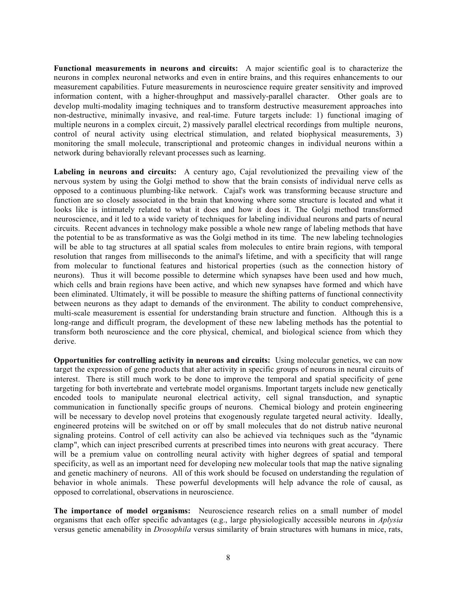**Functional measurements in neurons and circuits:** A major scientific goal is to characterize the neurons in complex neuronal networks and even in entire brains, and this requires enhancements to our measurement capabilities. Future measurements in neuroscience require greater sensitivity and improved information content, with a higher-throughput and massively-parallel character. Other goals are to develop multi-modality imaging techniques and to transform destructive measurement approaches into non-destructive, minimally invasive, and real-time. Future targets include: 1) functional imaging of multiple neurons in a complex circuit, 2) massively parallel electrical recordings from multiple neurons, control of neural activity using electrical stimulation, and related biophysical measurements, 3) monitoring the small molecule, transcriptional and proteomic changes in individual neurons within a network during behaviorally relevant processes such as learning.

**Labeling in neurons and circuits:** A century ago, Cajal revolutionized the prevailing view of the nervous system by using the Golgi method to show that the brain consists of individual nerve cells as opposed to a continuous plumbing-like network. Cajal's work was transforming because structure and function are so closely associated in the brain that knowing where some structure is located and what it looks like is intimately related to what it does and how it does it. The Golgi method transformed neuroscience, and it led to a wide variety of techniques for labeling individual neurons and parts of neural circuits. Recent advances in technology make possible a whole new range of labeling methods that have the potential to be as transformative as was the Golgi method in its time. The new labeling technologies will be able to tag structures at all spatial scales from molecules to entire brain regions, with temporal resolution that ranges from milliseconds to the animal's lifetime, and with a specificity that will range from molecular to functional features and historical properties (such as the connection history of neurons). Thus it will become possible to determine which synapses have been used and how much, which cells and brain regions have been active, and which new synapses have formed and which have been eliminated. Ultimately, it will be possible to measure the shifting patterns of functional connectivity between neurons as they adapt to demands of the environment. The ability to conduct comprehensive, multi-scale measurement is essential for understanding brain structure and function. Although this is a long-range and difficult program, the development of these new labeling methods has the potential to transform both neuroscience and the core physical, chemical, and biological science from which they derive.

**Opportunities for controlling activity in neurons and circuits:** Using molecular genetics, we can now target the expression of gene products that alter activity in specific groups of neurons in neural circuits of interest. There is still much work to be done to improve the temporal and spatial specificity of gene targeting for both invertebrate and vertebrate model organisms. Important targets include new genetically encoded tools to manipulate neuronal electrical activity, cell signal transduction, and synaptic communication in functionally specific groups of neurons. Chemical biology and protein engineering will be necessary to develop novel proteins that exogenously regulate targeted neural activity. Ideally, engineered proteins will be switched on or off by small molecules that do not distrub native neuronal signaling proteins. Control of cell activity can also be achieved via techniques such as the "dynamic clamp", which can inject prescribed currents at prescribed times into neurons with great accuracy. There will be a premium value on controlling neural activity with higher degrees of spatial and temporal specificity, as well as an important need for developing new molecular tools that map the native signaling and genetic machinery of neurons. All of this work should be focused on understanding the regulation of behavior in whole animals. These powerful developments will help advance the role of causal, as opposed to correlational, observations in neuroscience.

**The importance of model organisms:** Neuroscience research relies on a small number of model organisms that each offer specific advantages (e.g., large physiologically accessible neurons in *Aplysia* versus genetic amenability in *Drosophila* versus similarity of brain structures with humans in mice, rats,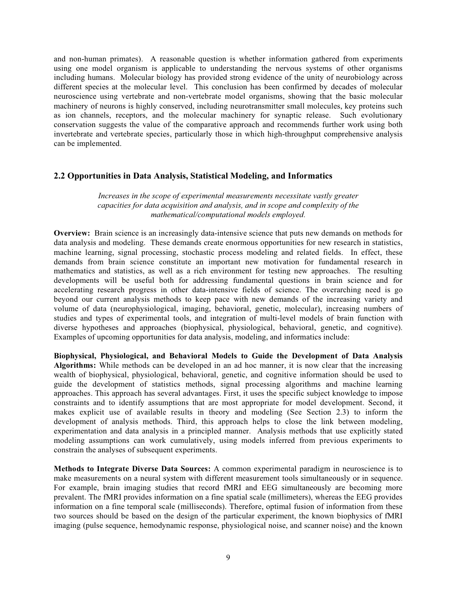and non-human primates). A reasonable question is whether information gathered from experiments using one model organism is applicable to understanding the nervous systems of other organisms including humans. Molecular biology has provided strong evidence of the unity of neurobiology across different species at the molecular level. This conclusion has been confirmed by decades of molecular neuroscience using vertebrate and non-vertebrate model organisms, showing that the basic molecular machinery of neurons is highly conserved, including neurotransmitter small molecules, key proteins such as ion channels, receptors, and the molecular machinery for synaptic release. Such evolutionary conservation suggests the value of the comparative approach and recommends further work using both invertebrate and vertebrate species, particularly those in which high-throughput comprehensive analysis can be implemented.

#### **2.2 Opportunities in Data Analysis, Statistical Modeling, and Informatics**

*Increases in the scope of experimental measurements necessitate vastly greater capacities for data acquisition and analysis, and in scope and complexity of the mathematical/computational models employed.*

**Overview:** Brain science is an increasingly data-intensive science that puts new demands on methods for data analysis and modeling. These demands create enormous opportunities for new research in statistics, machine learning, signal processing, stochastic process modeling and related fields. In effect, these demands from brain science constitute an important new motivation for fundamental research in mathematics and statistics, as well as a rich environment for testing new approaches. The resulting developments will be useful both for addressing fundamental questions in brain science and for accelerating research progress in other data-intensive fields of science. The overarching need is go beyond our current analysis methods to keep pace with new demands of the increasing variety and volume of data (neurophysiological, imaging, behavioral, genetic, molecular), increasing numbers of studies and types of experimental tools, and integration of multi-level models of brain function with diverse hypotheses and approaches (biophysical, physiological, behavioral, genetic, and cognitive). Examples of upcoming opportunities for data analysis, modeling, and informatics include:

**Biophysical, Physiological, and Behavioral Models to Guide the Development of Data Analysis Algorithms:** While methods can be developed in an ad hoc manner, it is now clear that the increasing wealth of biophysical, physiological, behavioral, genetic, and cognitive information should be used to guide the development of statistics methods, signal processing algorithms and machine learning approaches. This approach has several advantages. First, it uses the specific subject knowledge to impose constraints and to identify assumptions that are most appropriate for model development. Second, it makes explicit use of available results in theory and modeling (See Section 2.3) to inform the development of analysis methods. Third, this approach helps to close the link between modeling, experimentation and data analysis in a principled manner. Analysis methods that use explicitly stated modeling assumptions can work cumulatively, using models inferred from previous experiments to constrain the analyses of subsequent experiments.

**Methods to Integrate Diverse Data Sources:** A common experimental paradigm in neuroscience is to make measurements on a neural system with different measurement tools simultaneously or in sequence. For example, brain imaging studies that record fMRI and EEG simultaneously are becoming more prevalent. The fMRI provides information on a fine spatial scale (millimeters), whereas the EEG provides information on a fine temporal scale (milliseconds). Therefore, optimal fusion of information from these two sources should be based on the design of the particular experiment, the known biophysics of fMRI imaging (pulse sequence, hemodynamic response, physiological noise, and scanner noise) and the known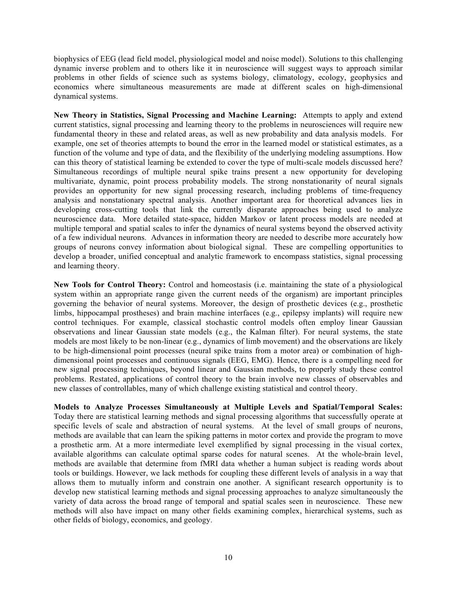biophysics of EEG (lead field model, physiological model and noise model). Solutions to this challenging dynamic inverse problem and to others like it in neuroscience will suggest ways to approach similar problems in other fields of science such as systems biology, climatology, ecology, geophysics and economics where simultaneous measurements are made at different scales on high-dimensional dynamical systems.

**New Theory in Statistics, Signal Processing and Machine Learning:** Attempts to apply and extend current statistics, signal processing and learning theory to the problems in neurosciences will require new fundamental theory in these and related areas, as well as new probability and data analysis models. For example, one set of theories attempts to bound the error in the learned model or statistical estimates, as a function of the volume and type of data, and the flexibility of the underlying modeling assumptions. How can this theory of statistical learning be extended to cover the type of multi-scale models discussed here? Simultaneous recordings of multiple neural spike trains present a new opportunity for developing multivariate, dynamic, point process probability models. The strong nonstationarity of neural signals provides an opportunity for new signal processing research, including problems of time-frequency analysis and nonstationary spectral analysis. Another important area for theoretical advances lies in developing cross-cutting tools that link the currently disparate approaches being used to analyze neuroscience data. More detailed state-space, hidden Markov or latent process models are needed at multiple temporal and spatial scales to infer the dynamics of neural systems beyond the observed activity of a few individual neurons. Advances in information theory are needed to describe more accurately how groups of neurons convey information about biological signal. These are compelling opportunities to develop a broader, unified conceptual and analytic framework to encompass statistics, signal processing and learning theory.

**New Tools for Control Theory:** Control and homeostasis (i.e. maintaining the state of a physiological system within an appropriate range given the current needs of the organism) are important principles governing the behavior of neural systems. Moreover, the design of prosthetic devices (e.g., prosthetic limbs, hippocampal prostheses) and brain machine interfaces (e.g., epilepsy implants) will require new control techniques. For example, classical stochastic control models often employ linear Gaussian observations and linear Gaussian state models (e.g., the Kalman filter). For neural systems, the state models are most likely to be non-linear (e.g., dynamics of limb movement) and the observations are likely to be high-dimensional point processes (neural spike trains from a motor area) or combination of highdimensional point processes and continuous signals (EEG, EMG). Hence, there is a compelling need for new signal processing techniques, beyond linear and Gaussian methods, to properly study these control problems. Restated, applications of control theory to the brain involve new classes of observables and new classes of controllables, many of which challenge existing statistical and control theory.

**Models to Analyze Processes Simultaneously at Multiple Levels and Spatial/Temporal Scales:** Today there are statistical learning methods and signal processing algorithms that successfully operate at specific levels of scale and abstraction of neural systems. At the level of small groups of neurons, methods are available that can learn the spiking patterns in motor cortex and provide the program to move a prosthetic arm. At a more intermediate level exemplified by signal processing in the visual cortex, available algorithms can calculate optimal sparse codes for natural scenes. At the whole-brain level, methods are available that determine from fMRI data whether a human subject is reading words about tools or buildings. However, we lack methods for coupling these different levels of analysis in a way that allows them to mutually inform and constrain one another. A significant research opportunity is to develop new statistical learning methods and signal processing approaches to analyze simultaneously the variety of data across the broad range of temporal and spatial scales seen in neuroscience. These new methods will also have impact on many other fields examining complex, hierarchical systems, such as other fields of biology, economics, and geology.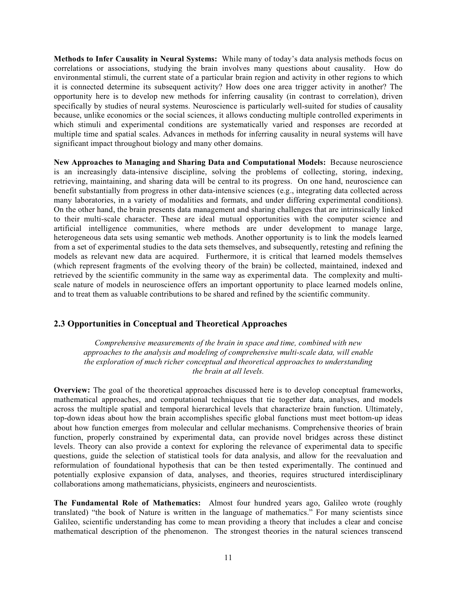**Methods to Infer Causality in Neural Systems:** While many of today's data analysis methods focus on correlations or associations, studying the brain involves many questions about causality. How do environmental stimuli, the current state of a particular brain region and activity in other regions to which it is connected determine its subsequent activity? How does one area trigger activity in another? The opportunity here is to develop new methods for inferring causality (in contrast to correlation), driven specifically by studies of neural systems. Neuroscience is particularly well-suited for studies of causality because, unlike economics or the social sciences, it allows conducting multiple controlled experiments in which stimuli and experimental conditions are systematically varied and responses are recorded at multiple time and spatial scales. Advances in methods for inferring causality in neural systems will have significant impact throughout biology and many other domains.

**New Approaches to Managing and Sharing Data and Computational Models:** Because neuroscience is an increasingly data-intensive discipline, solving the problems of collecting, storing, indexing, retrieving, maintaining, and sharing data will be central to its progress. On one hand, neuroscience can benefit substantially from progress in other data-intensive sciences (e.g., integrating data collected across many laboratories, in a variety of modalities and formats, and under differing experimental conditions). On the other hand, the brain presents data management and sharing challenges that are intrinsically linked to their multi-scale character. These are ideal mutual opportunities with the computer science and artificial intelligence communities, where methods are under development to manage large, heterogeneous data sets using semantic web methods. Another opportunity is to link the models learned from a set of experimental studies to the data sets themselves, and subsequently, retesting and refining the models as relevant new data are acquired. Furthermore, it is critical that learned models themselves (which represent fragments of the evolving theory of the brain) be collected, maintained, indexed and retrieved by the scientific community in the same way as experimental data. The complexity and multiscale nature of models in neuroscience offers an important opportunity to place learned models online, and to treat them as valuable contributions to be shared and refined by the scientific community.

### **2.3 Opportunities in Conceptual and Theoretical Approaches**

*Comprehensive measurements of the brain in space and time, combined with new approaches to the analysis and modeling of comprehensive multi-scale data, will enable the exploration of much richer conceptual and theoretical approaches to understanding the brain at all levels.*

**Overview:** The goal of the theoretical approaches discussed here is to develop conceptual frameworks, mathematical approaches, and computational techniques that tie together data, analyses, and models across the multiple spatial and temporal hierarchical levels that characterize brain function. Ultimately, top-down ideas about how the brain accomplishes specific global functions must meet bottom-up ideas about how function emerges from molecular and cellular mechanisms. Comprehensive theories of brain function, properly constrained by experimental data, can provide novel bridges across these distinct levels. Theory can also provide a context for exploring the relevance of experimental data to specific questions, guide the selection of statistical tools for data analysis, and allow for the reevaluation and reformulation of foundational hypothesis that can be then tested experimentally. The continued and potentially explosive expansion of data, analyses, and theories, requires structured interdisciplinary collaborations among mathematicians, physicists, engineers and neuroscientists.

**The Fundamental Role of Mathematics:** Almost four hundred years ago, Galileo wrote (roughly translated) "the book of Nature is written in the language of mathematics." For many scientists since Galileo, scientific understanding has come to mean providing a theory that includes a clear and concise mathematical description of the phenomenon. The strongest theories in the natural sciences transcend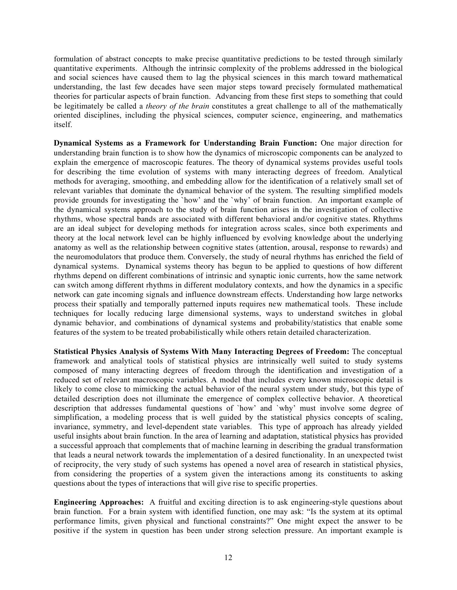formulation of abstract concepts to make precise quantitative predictions to be tested through similarly quantitative experiments. Although the intrinsic complexity of the problems addressed in the biological and social sciences have caused them to lag the physical sciences in this march toward mathematical understanding, the last few decades have seen major steps toward precisely formulated mathematical theories for particular aspects of brain function. Advancing from these first steps to something that could be legitimately be called a *theory of the brain* constitutes a great challenge to all of the mathematically oriented disciplines, including the physical sciences, computer science, engineering, and mathematics itself.

**Dynamical Systems as a Framework for Understanding Brain Function:** One major direction for understanding brain function is to show how the dynamics of microscopic components can be analyzed to explain the emergence of macroscopic features. The theory of dynamical systems provides useful tools for describing the time evolution of systems with many interacting degrees of freedom. Analytical methods for averaging, smoothing, and embedding allow for the identification of a relatively small set of relevant variables that dominate the dynamical behavior of the system. The resulting simplified models provide grounds for investigating the `how' and the `why' of brain function. An important example of the dynamical systems approach to the study of brain function arises in the investigation of collective rhythms, whose spectral bands are associated with different behavioral and/or cognitive states. Rhythms are an ideal subject for developing methods for integration across scales, since both experiments and theory at the local network level can be highly influenced by evolving knowledge about the underlying anatomy as well as the relationship between cognitive states (attention, arousal, response to rewards) and the neuromodulators that produce them. Conversely, the study of neural rhythms has enriched the field of dynamical systems. Dynamical systems theory has begun to be applied to questions of how different rhythms depend on different combinations of intrinsic and synaptic ionic currents, how the same network can switch among different rhythms in different modulatory contexts, and how the dynamics in a specific network can gate incoming signals and influence downstream effects. Understanding how large networks process their spatially and temporally patterned inputs requires new mathematical tools. These include techniques for locally reducing large dimensional systems, ways to understand switches in global dynamic behavior, and combinations of dynamical systems and probability/statistics that enable some features of the system to be treated probabilistically while others retain detailed characterization.

**Statistical Physics Analysis of Systems With Many Interacting Degrees of Freedom:** The conceptual framework and analytical tools of statistical physics are intrinsically well suited to study systems composed of many interacting degrees of freedom through the identification and investigation of a reduced set of relevant macroscopic variables. A model that includes every known microscopic detail is likely to come close to mimicking the actual behavior of the neural system under study, but this type of detailed description does not illuminate the emergence of complex collective behavior. A theoretical description that addresses fundamental questions of `how' and `why' must involve some degree of simplification, a modeling process that is well guided by the statistical physics concepts of scaling, invariance, symmetry, and level-dependent state variables. This type of approach has already yielded useful insights about brain function. In the area of learning and adaptation, statistical physics has provided a successful approach that complements that of machine learning in describing the gradual transformation that leads a neural network towards the implementation of a desired functionality. In an unexpected twist of reciprocity, the very study of such systems has opened a novel area of research in statistical physics, from considering the properties of a system given the interactions among its constituents to asking questions about the types of interactions that will give rise to specific properties.

**Engineering Approaches:** A fruitful and exciting direction is to ask engineering-style questions about brain function. For a brain system with identified function, one may ask: "Is the system at its optimal performance limits, given physical and functional constraints?" One might expect the answer to be positive if the system in question has been under strong selection pressure. An important example is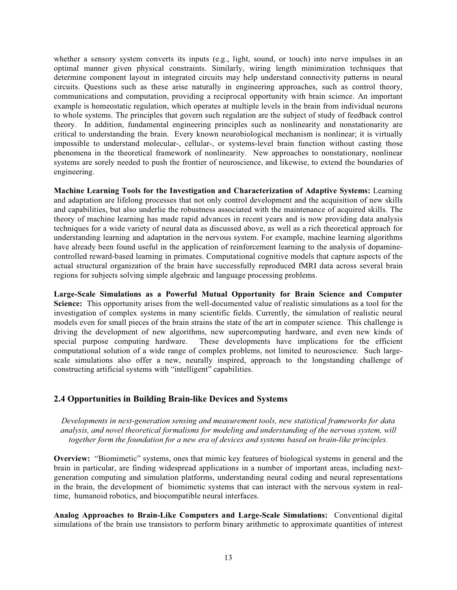whether a sensory system converts its inputs (e.g., light, sound, or touch) into nerve impulses in an optimal manner given physical constraints. Similarly, wiring length minimization techniques that determine component layout in integrated circuits may help understand connectivity patterns in neural circuits. Questions such as these arise naturally in engineering approaches, such as control theory, communications and computation, providing a reciprocal opportunity with brain science. An important example is homeostatic regulation, which operates at multiple levels in the brain from individual neurons to whole systems. The principles that govern such regulation are the subject of study of feedback control theory. In addition, fundamental engineering principles such as nonlinearity and nonstationarity are critical to understanding the brain. Every known neurobiological mechanism is nonlinear; it is virtually impossible to understand molecular-, cellular-, or systems-level brain function without casting those phenomena in the theoretical framework of nonlinearity. New approaches to nonstationary, nonlinear systems are sorely needed to push the frontier of neuroscience, and likewise, to extend the boundaries of engineering.

**Machine Learning Tools for the Investigation and Characterization of Adaptive Systems:** Learning and adaptation are lifelong processes that not only control development and the acquisition of new skills and capabilities, but also underlie the robustness associated with the maintenance of acquired skills. The theory of machine learning has made rapid advances in recent years and is now providing data analysis techniques for a wide variety of neural data as discussed above, as well as a rich theoretical approach for understanding learning and adaptation in the nervous system. For example, machine learning algorithms have already been found useful in the application of reinforcement learning to the analysis of dopaminecontrolled reward-based learning in primates. Computational cognitive models that capture aspects of the actual structural organization of the brain have successfully reproduced fMRI data across several brain regions for subjects solving simple algebraic and language processing problems.

**Large-Scale Simulations as a Powerful Mutual Opportunity for Brain Science and Computer Science:** This opportunity arises from the well-documented value of realistic simulations as a tool for the investigation of complex systems in many scientific fields. Currently, the simulation of realistic neural models even for small pieces of the brain strains the state of the art in computer science. This challenge is driving the development of new algorithms, new supercomputing hardware, and even new kinds of special purpose computing hardware. These developments have implications for the efficient computational solution of a wide range of complex problems, not limited to neuroscience. Such largescale simulations also offer a new, neurally inspired, approach to the longstanding challenge of constructing artificial systems with "intelligent" capabilities.

#### **2.4 Opportunities in Building Brain-like Devices and Systems**

*Developments in next-generation sensing and measurement tools, new statistical frameworks for data analysis, and novel theoretical formalisms for modeling and understanding of the nervous system, will together form the foundation for a new era of devices and systems based on brain-like principles.*

**Overview:** "Biomimetic" systems, ones that mimic key features of biological systems in general and the brain in particular, are finding widespread applications in a number of important areas, including nextgeneration computing and simulation platforms, understanding neural coding and neural representations in the brain, the development of biomimetic systems that can interact with the nervous system in realtime, humanoid robotics, and biocompatible neural interfaces.

**Analog Approaches to Brain-Like Computers and Large-Scale Simulations:** Conventional digital simulations of the brain use transistors to perform binary arithmetic to approximate quantities of interest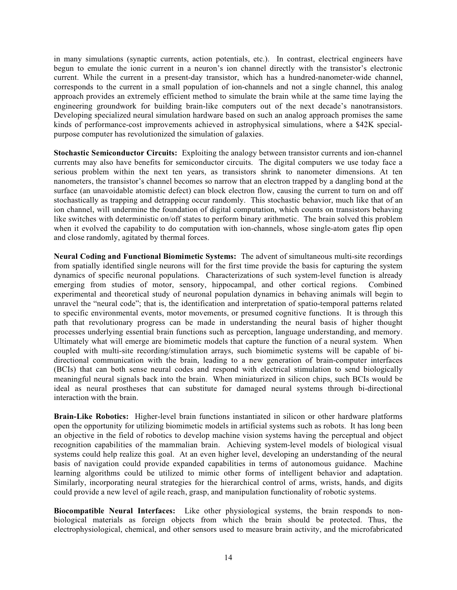in many simulations (synaptic currents, action potentials, etc.). In contrast, electrical engineers have begun to emulate the ionic current in a neuron's ion channel directly with the transistor's electronic current. While the current in a present-day transistor, which has a hundred-nanometer-wide channel, corresponds to the current in a small population of ion-channels and not a single channel, this analog approach provides an extremely efficient method to simulate the brain while at the same time laying the engineering groundwork for building brain-like computers out of the next decade's nanotransistors. Developing specialized neural simulation hardware based on such an analog approach promises the same kinds of performance-cost improvements achieved in astrophysical simulations, where a \$42K specialpurpose computer has revolutionized the simulation of galaxies.

**Stochastic Semiconductor Circuits:** Exploiting the analogy between transistor currents and ion-channel currents may also have benefits for semiconductor circuits. The digital computers we use today face a serious problem within the next ten years, as transistors shrink to nanometer dimensions. At ten nanometers, the transistor's channel becomes so narrow that an electron trapped by a dangling bond at the surface (an unavoidable atomistic defect) can block electron flow, causing the current to turn on and off stochastically as trapping and detrapping occur randomly. This stochastic behavior, much like that of an ion channel, will undermine the foundation of digital computation, which counts on transistors behaving like switches with deterministic on/off states to perform binary arithmetic. The brain solved this problem when it evolved the capability to do computation with ion-channels, whose single-atom gates flip open and close randomly, agitated by thermal forces.

**Neural Coding and Functional Biomimetic Systems:** The advent of simultaneous multi-site recordings from spatially identified single neurons will for the first time provide the basis for capturing the system dynamics of specific neuronal populations. Characterizations of such system-level function is already emerging from studies of motor, sensory, hippocampal, and other cortical regions. Combined experimental and theoretical study of neuronal population dynamics in behaving animals will begin to unravel the "neural code"; that is, the identification and interpretation of spatio-temporal patterns related to specific environmental events, motor movements, or presumed cognitive functions. It is through this path that revolutionary progress can be made in understanding the neural basis of higher thought processes underlying essential brain functions such as perception, language understanding, and memory. Ultimately what will emerge are biomimetic models that capture the function of a neural system. When coupled with multi-site recording/stimulation arrays, such biomimetic systems will be capable of bidirectional communication with the brain, leading to a new generation of brain-computer interfaces (BCIs) that can both sense neural codes and respond with electrical stimulation to send biologically meaningful neural signals back into the brain. When miniaturized in silicon chips, such BCIs would be ideal as neural prostheses that can substitute for damaged neural systems through bi-directional interaction with the brain.

**Brain-Like Robotics:** Higher-level brain functions instantiated in silicon or other hardware platforms open the opportunity for utilizing biomimetic models in artificial systems such as robots. It has long been an objective in the field of robotics to develop machine vision systems having the perceptual and object recognition capabilities of the mammalian brain. Achieving system-level models of biological visual systems could help realize this goal. At an even higher level, developing an understanding of the neural basis of navigation could provide expanded capabilities in terms of autonomous guidance. Machine learning algorithms could be utilized to mimic other forms of intelligent behavior and adaptation. Similarly, incorporating neural strategies for the hierarchical control of arms, wrists, hands, and digits could provide a new level of agile reach, grasp, and manipulation functionality of robotic systems.

**Biocompatible Neural Interfaces:** Like other physiological systems, the brain responds to nonbiological materials as foreign objects from which the brain should be protected. Thus, the electrophysiological, chemical, and other sensors used to measure brain activity, and the microfabricated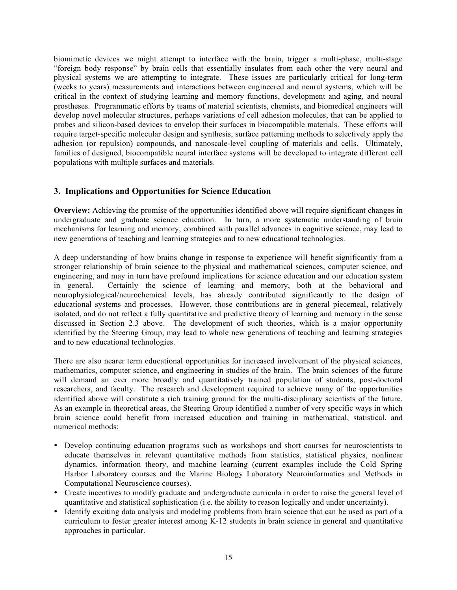biomimetic devices we might attempt to interface with the brain, trigger a multi-phase, multi-stage "foreign body response" by brain cells that essentially insulates from each other the very neural and physical systems we are attempting to integrate. These issues are particularly critical for long-term (weeks to years) measurements and interactions between engineered and neural systems, which will be critical in the context of studying learning and memory functions, development and aging, and neural prostheses. Programmatic efforts by teams of material scientists, chemists, and biomedical engineers will develop novel molecular structures, perhaps variations of cell adhesion molecules, that can be applied to probes and silicon-based devices to envelop their surfaces in biocompatible materials. These efforts will require target-specific molecular design and synthesis, surface patterning methods to selectively apply the adhesion (or repulsion) compounds, and nanoscale-level coupling of materials and cells. Ultimately, families of designed, biocompatible neural interface systems will be developed to integrate different cell populations with multiple surfaces and materials.

### **3. Implications and Opportunities for Science Education**

**Overview:** Achieving the promise of the opportunities identified above will require significant changes in undergraduate and graduate science education. In turn, a more systematic understanding of brain mechanisms for learning and memory, combined with parallel advances in cognitive science, may lead to new generations of teaching and learning strategies and to new educational technologies.

A deep understanding of how brains change in response to experience will benefit significantly from a stronger relationship of brain science to the physical and mathematical sciences, computer science, and engineering, and may in turn have profound implications for science education and our education system in general. Certainly the science of learning and memory, both at the behavioral and neurophysiological/neurochemical levels, has already contributed significantly to the design of educational systems and processes. However, those contributions are in general piecemeal, relatively isolated, and do not reflect a fully quantitative and predictive theory of learning and memory in the sense discussed in Section 2.3 above. The development of such theories, which is a major opportunity identified by the Steering Group, may lead to whole new generations of teaching and learning strategies and to new educational technologies.

There are also nearer term educational opportunities for increased involvement of the physical sciences, mathematics, computer science, and engineering in studies of the brain. The brain sciences of the future will demand an ever more broadly and quantitatively trained population of students, post-doctoral researchers, and faculty. The research and development required to achieve many of the opportunities identified above will constitute a rich training ground for the multi-disciplinary scientists of the future. As an example in theoretical areas, the Steering Group identified a number of very specific ways in which brain science could benefit from increased education and training in mathematical, statistical, and numerical methods:

- Develop continuing education programs such as workshops and short courses for neuroscientists to educate themselves in relevant quantitative methods from statistics, statistical physics, nonlinear dynamics, information theory, and machine learning (current examples include the Cold Spring Harbor Laboratory courses and the Marine Biology Laboratory Neuroinformatics and Methods in Computational Neuroscience courses).
- Create incentives to modify graduate and undergraduate curricula in order to raise the general level of quantitative and statistical sophistication (i.e. the ability to reason logically and under uncertainty).
- Identify exciting data analysis and modeling problems from brain science that can be used as part of a curriculum to foster greater interest among K-12 students in brain science in general and quantitative approaches in particular.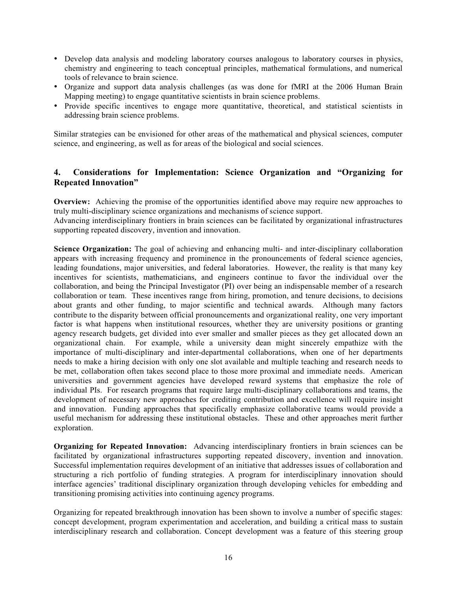- Develop data analysis and modeling laboratory courses analogous to laboratory courses in physics, chemistry and engineering to teach conceptual principles, mathematical formulations, and numerical tools of relevance to brain science.
- Organize and support data analysis challenges (as was done for fMRI at the 2006 Human Brain Mapping meeting) to engage quantitative scientists in brain science problems.
- Provide specific incentives to engage more quantitative, theoretical, and statistical scientists in addressing brain science problems.

Similar strategies can be envisioned for other areas of the mathematical and physical sciences, computer science, and engineering, as well as for areas of the biological and social sciences.

## **4. Considerations for Implementation: Science Organization and "Organizing for Repeated Innovation"**

**Overview:** Achieving the promise of the opportunities identified above may require new approaches to truly multi-disciplinary science organizations and mechanisms of science support.

Advancing interdisciplinary frontiers in brain sciences can be facilitated by organizational infrastructures supporting repeated discovery, invention and innovation.

**Science Organization:** The goal of achieving and enhancing multi- and inter-disciplinary collaboration appears with increasing frequency and prominence in the pronouncements of federal science agencies, leading foundations, major universities, and federal laboratories. However, the reality is that many key incentives for scientists, mathematicians, and engineers continue to favor the individual over the collaboration, and being the Principal Investigator (PI) over being an indispensable member of a research collaboration or team. These incentives range from hiring, promotion, and tenure decisions, to decisions about grants and other funding, to major scientific and technical awards. Although many factors contribute to the disparity between official pronouncements and organizational reality, one very important factor is what happens when institutional resources, whether they are university positions or granting agency research budgets, get divided into ever smaller and smaller pieces as they get allocated down an organizational chain. For example, while a university dean might sincerely empathize with the importance of multi-disciplinary and inter-departmental collaborations, when one of her departments needs to make a hiring decision with only one slot available and multiple teaching and research needs to be met, collaboration often takes second place to those more proximal and immediate needs. American universities and government agencies have developed reward systems that emphasize the role of individual PIs. For research programs that require large multi-disciplinary collaborations and teams, the development of necessary new approaches for crediting contribution and excellence will require insight and innovation. Funding approaches that specifically emphasize collaborative teams would provide a useful mechanism for addressing these institutional obstacles. These and other approaches merit further exploration.

**Organizing for Repeated Innovation:** Advancing interdisciplinary frontiers in brain sciences can be facilitated by organizational infrastructures supporting repeated discovery, invention and innovation. Successful implementation requires development of an initiative that addresses issues of collaboration and structuring a rich portfolio of funding strategies. A program for interdisciplinary innovation should interface agencies' traditional disciplinary organization through developing vehicles for embedding and transitioning promising activities into continuing agency programs.

Organizing for repeated breakthrough innovation has been shown to involve a number of specific stages: concept development, program experimentation and acceleration, and building a critical mass to sustain interdisciplinary research and collaboration. Concept development was a feature of this steering group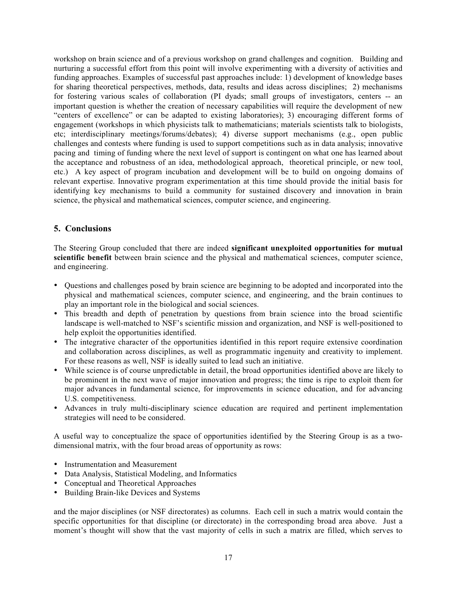workshop on brain science and of a previous workshop on grand challenges and cognition. Building and nurturing a successful effort from this point will involve experimenting with a diversity of activities and funding approaches. Examples of successful past approaches include: 1) development of knowledge bases for sharing theoretical perspectives, methods, data, results and ideas across disciplines; 2) mechanisms for fostering various scales of collaboration (PI dyads; small groups of investigators, centers -- an important question is whether the creation of necessary capabilities will require the development of new "centers of excellence" or can be adapted to existing laboratories); 3) encouraging different forms of engagement (workshops in which physicists talk to mathematicians; materials scientists talk to biologists, etc; interdisciplinary meetings/forums/debates); 4) diverse support mechanisms (e.g., open public challenges and contests where funding is used to support competitions such as in data analysis; innovative pacing and timing of funding where the next level of support is contingent on what one has learned about the acceptance and robustness of an idea, methodological approach, theoretical principle, or new tool, etc.) A key aspect of program incubation and development will be to build on ongoing domains of relevant expertise. Innovative program experimentation at this time should provide the initial basis for identifying key mechanisms to build a community for sustained discovery and innovation in brain science, the physical and mathematical sciences, computer science, and engineering.

## **5. Conclusions**

The Steering Group concluded that there are indeed **significant unexploited opportunities for mutual scientific benefit** between brain science and the physical and mathematical sciences, computer science, and engineering.

- Questions and challenges posed by brain science are beginning to be adopted and incorporated into the physical and mathematical sciences, computer science, and engineering, and the brain continues to play an important role in the biological and social sciences.
- This breadth and depth of penetration by questions from brain science into the broad scientific landscape is well-matched to NSF's scientific mission and organization, and NSF is well-positioned to help exploit the opportunities identified.
- The integrative character of the opportunities identified in this report require extensive coordination and collaboration across disciplines, as well as programmatic ingenuity and creativity to implement. For these reasons as well, NSF is ideally suited to lead such an initiative.
- While science is of course unpredictable in detail, the broad opportunities identified above are likely to be prominent in the next wave of major innovation and progress; the time is ripe to exploit them for major advances in fundamental science, for improvements in science education, and for advancing U.S. competitiveness.
- Advances in truly multi-disciplinary science education are required and pertinent implementation strategies will need to be considered.

A useful way to conceptualize the space of opportunities identified by the Steering Group is as a twodimensional matrix, with the four broad areas of opportunity as rows:

- Instrumentation and Measurement
- Data Analysis, Statistical Modeling, and Informatics
- Conceptual and Theoretical Approaches
- Building Brain-like Devices and Systems

and the major disciplines (or NSF directorates) as columns. Each cell in such a matrix would contain the specific opportunities for that discipline (or directorate) in the corresponding broad area above. Just a moment's thought will show that the vast majority of cells in such a matrix are filled, which serves to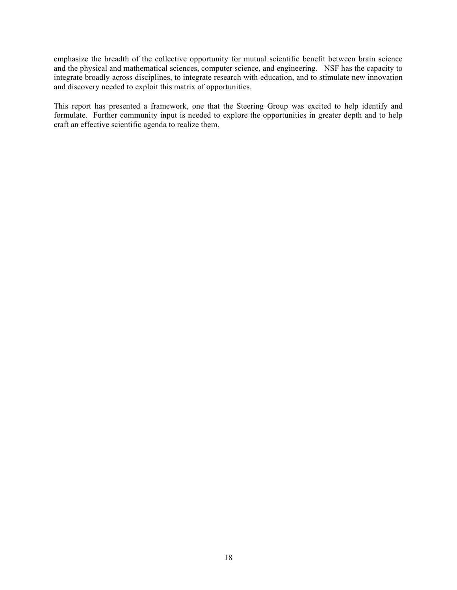emphasize the breadth of the collective opportunity for mutual scientific benefit between brain science and the physical and mathematical sciences, computer science, and engineering. NSF has the capacity to integrate broadly across disciplines, to integrate research with education, and to stimulate new innovation and discovery needed to exploit this matrix of opportunities.

This report has presented a framework, one that the Steering Group was excited to help identify and formulate. Further community input is needed to explore the opportunities in greater depth and to help craft an effective scientific agenda to realize them.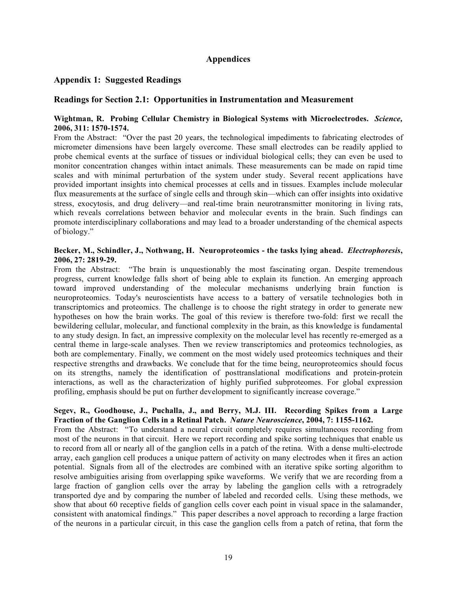## **Appendices**

### **Appendix 1: Suggested Readings**

#### **Readings for Section 2.1: Opportunities in Instrumentation and Measurement**

#### **Wightman, R. Probing Cellular Chemistry in Biological Systems with Microelectrodes.** *Science,* **2006, 311: 1570-1574.**

From the Abstract: "Over the past 20 years, the technological impediments to fabricating electrodes of micrometer dimensions have been largely overcome. These small electrodes can be readily applied to probe chemical events at the surface of tissues or individual biological cells; they can even be used to monitor concentration changes within intact animals. These measurements can be made on rapid time scales and with minimal perturbation of the system under study. Several recent applications have provided important insights into chemical processes at cells and in tissues. Examples include molecular flux measurements at the surface of single cells and through skin—which can offer insights into oxidative stress, exocytosis, and drug delivery—and real-time brain neurotransmitter monitoring in living rats, which reveals correlations between behavior and molecular events in the brain. Such findings can promote interdisciplinary collaborations and may lead to a broader understanding of the chemical aspects of biology."

#### **Becker, M., Schindler, J., Nothwang, H. Neuroproteomics - the tasks lying ahead.** *Electrophoresis***, 2006, 27: 2819-29.**

From the Abstract: "The brain is unquestionably the most fascinating organ. Despite tremendous progress, current knowledge falls short of being able to explain its function. An emerging approach toward improved understanding of the molecular mechanisms underlying brain function is neuroproteomics. Today's neuroscientists have access to a battery of versatile technologies both in transcriptomics and proteomics. The challenge is to choose the right strategy in order to generate new hypotheses on how the brain works. The goal of this review is therefore two-fold: first we recall the bewildering cellular, molecular, and functional complexity in the brain, as this knowledge is fundamental to any study design. In fact, an impressive complexity on the molecular level has recently re-emerged as a central theme in large-scale analyses. Then we review transcriptomics and proteomics technologies, as both are complementary. Finally, we comment on the most widely used proteomics techniques and their respective strengths and drawbacks. We conclude that for the time being, neuroproteomics should focus on its strengths, namely the identification of posttranslational modifications and protein-protein interactions, as well as the characterization of highly purified subproteomes. For global expression profiling, emphasis should be put on further development to significantly increase coverage."

#### **Segev, R., Goodhouse, J., Puchalla, J., and Berry, M.J. III. Recording Spikes from a Large Fraction of the Ganglion Cells in a Retinal Patch.** *Nature Neuroscience***, 2004, 7: 1155-1162.**

From the Abstract: "To understand a neural circuit completely requires simultaneous recording from most of the neurons in that circuit. Here we report recording and spike sorting techniques that enable us to record from all or nearly all of the ganglion cells in a patch of the retina. With a dense multi-electrode array, each ganglion cell produces a unique pattern of activity on many electrodes when it fires an action potential. Signals from all of the electrodes are combined with an iterative spike sorting algorithm to resolve ambiguities arising from overlapping spike waveforms. We verify that we are recording from a large fraction of ganglion cells over the array by labeling the ganglion cells with a retrogradely transported dye and by comparing the number of labeled and recorded cells. Using these methods, we show that about 60 receptive fields of ganglion cells cover each point in visual space in the salamander, consistent with anatomical findings." This paper describes a novel approach to recording a large fraction of the neurons in a particular circuit, in this case the ganglion cells from a patch of retina, that form the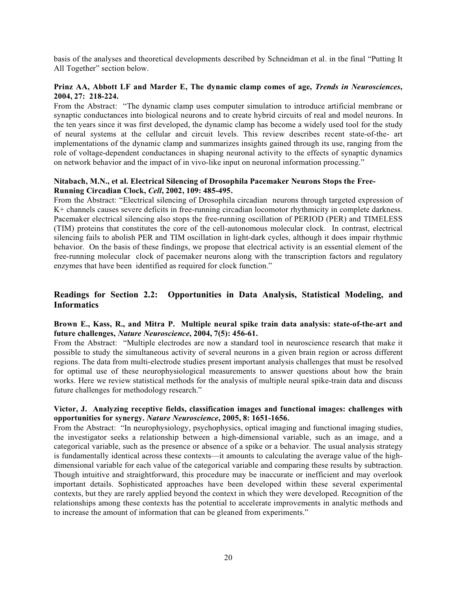basis of the analyses and theoretical developments described by Schneidman et al. in the final "Putting It All Together" section below.

#### **Prinz AA, Abbott LF and Marder E, The dynamic clamp comes of age,** *Trends in Neurosciences***, 2004, 27: 218-224.**

From the Abstract: "The dynamic clamp uses computer simulation to introduce artificial membrane or synaptic conductances into biological neurons and to create hybrid circuits of real and model neurons. In the ten years since it was first developed, the dynamic clamp has become a widely used tool for the study of neural systems at the cellular and circuit levels. This review describes recent state-of-the- art implementations of the dynamic clamp and summarizes insights gained through its use, ranging from the role of voltage-dependent conductances in shaping neuronal activity to the effects of synaptic dynamics on network behavior and the impact of in vivo-like input on neuronal information processing."

#### **Nitabach, M.N., et al. Electrical Silencing of Drosophila Pacemaker Neurons Stops the Free-Running Circadian Clock,** *Cell***, 2002, 109: 485-495.**

From the Abstract: "Electrical silencing of Drosophila circadian neurons through targeted expression of K+ channels causes severe deficits in free-running circadian locomotor rhythmicity in complete darkness. Pacemaker electrical silencing also stops the free-running oscillation of PERIOD (PER) and TIMELESS (TIM) proteins that constitutes the core of the cell-autonomous molecular clock. In contrast, electrical silencing fails to abolish PER and TIM oscillation in light-dark cycles, although it does impair rhythmic behavior. On the basis of these findings, we propose that electrical activity is an essential element of the free-running molecular clock of pacemaker neurons along with the transcription factors and regulatory enzymes that have been identified as required for clock function."

## **Readings for Section 2.2: Opportunities in Data Analysis, Statistical Modeling, and Informatics**

#### **Brown E., Kass, R., and Mitra P. Multiple neural spike train data analysis: state-of-the-art and future challenges,** *Nature Neuroscience***, 2004, 7(5): 456-61.**

From the Abstract: "Multiple electrodes are now a standard tool in neuroscience research that make it possible to study the simultaneous activity of several neurons in a given brain region or across different regions. The data from multi-electrode studies present important analysis challenges that must be resolved for optimal use of these neurophysiological measurements to answer questions about how the brain works. Here we review statistical methods for the analysis of multiple neural spike-train data and discuss future challenges for methodology research."

#### **Victor, J. Analyzing receptive fields, classification images and functional images: challenges with opportunities for synergy.** *Nature Neuroscience***, 2005, 8: 1651-1656.**

From the Abstract: "In neurophysiology, psychophysics, optical imaging and functional imaging studies, the investigator seeks a relationship between a high-dimensional variable, such as an image, and a categorical variable, such as the presence or absence of a spike or a behavior. The usual analysis strategy is fundamentally identical across these contexts—it amounts to calculating the average value of the highdimensional variable for each value of the categorical variable and comparing these results by subtraction. Though intuitive and straightforward, this procedure may be inaccurate or inefficient and may overlook important details. Sophisticated approaches have been developed within these several experimental contexts, but they are rarely applied beyond the context in which they were developed. Recognition of the relationships among these contexts has the potential to accelerate improvements in analytic methods and to increase the amount of information that can be gleaned from experiments."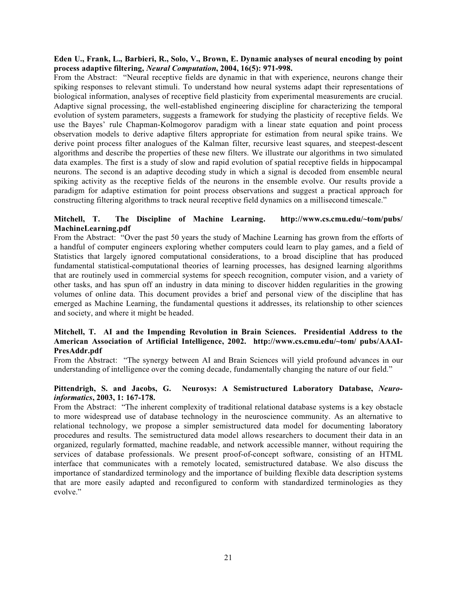#### **Eden U., Frank, L., Barbieri, R., Solo, V., Brown, E. Dynamic analyses of neural encoding by point process adaptive filtering,** *Neural Computation***, 2004, 16(5): 971-998.**

From the Abstract: "Neural receptive fields are dynamic in that with experience, neurons change their spiking responses to relevant stimuli. To understand how neural systems adapt their representations of biological information, analyses of receptive field plasticity from experimental measurements are crucial. Adaptive signal processing, the well-established engineering discipline for characterizing the temporal evolution of system parameters, suggests a framework for studying the plasticity of receptive fields. We use the Bayes' rule Chapman-Kolmogorov paradigm with a linear state equation and point process observation models to derive adaptive filters appropriate for estimation from neural spike trains. We derive point process filter analogues of the Kalman filter, recursive least squares, and steepest-descent algorithms and describe the properties of these new filters. We illustrate our algorithms in two simulated data examples. The first is a study of slow and rapid evolution of spatial receptive fields in hippocampal neurons. The second is an adaptive decoding study in which a signal is decoded from ensemble neural spiking activity as the receptive fields of the neurons in the ensemble evolve. Our results provide a paradigm for adaptive estimation for point process observations and suggest a practical approach for constructing filtering algorithms to track neural receptive field dynamics on a millisecond timescale."

#### **Mitchell, T. The Discipline of Machine Learning. [http://www.cs.cmu.edu/~tom/pubs/](http://www.cs.cmu.edu/~tom/pubs) MachineLearning.pdf**

From the Abstract: "Over the past 50 years the study of Machine Learning has grown from the efforts of a handful of computer engineers exploring whether computers could learn to play games, and a field of Statistics that largely ignored computational considerations, to a broad discipline that has produced fundamental statistical-computational theories of learning processes, has designed learning algorithms that are routinely used in commercial systems for speech recognition, computer vision, and a variety of other tasks, and has spun off an industry in data mining to discover hidden regularities in the growing volumes of online data. This document provides a brief and personal view of the discipline that has emerged as Machine Learning, the fundamental questions it addresses, its relationship to other sciences and society, and where it might be headed.

#### **Mitchell, T. AI and the Impending Revolution in Brain Sciences. Presidential Address to the American Association of Artificial Intelligence, 2002. [http://www.cs.cmu.edu/~tom/](http://www.cs.cmu.edu/~tom) pubs/AAAI-PresAddr.pdf**

From the Abstract: "The synergy between AI and Brain Sciences will yield profound advances in our understanding of intelligence over the coming decade, fundamentally changing the nature of our field."

#### **Pittendrigh, S. and Jacobs, G. Neurosys: A Semistructured Laboratory Database,** *Neuroinformatics***, 2003, 1: 167-178.**

From the Abstract: "The inherent complexity of traditional relational database systems is a key obstacle to more widespread use of database technology in the neuroscience community. As an alternative to relational technology, we propose a simpler semistructured data model for documenting laboratory procedures and results. The semistructured data model allows researchers to document their data in an organized, regularly formatted, machine readable, and network accessible manner, without requiring the services of database professionals. We present proof-of-concept software, consisting of an HTML interface that communicates with a remotely located, semistructured database. We also discuss the importance of standardized terminology and the importance of building flexible data description systems that are more easily adapted and reconfigured to conform with standardized terminologies as they evolve."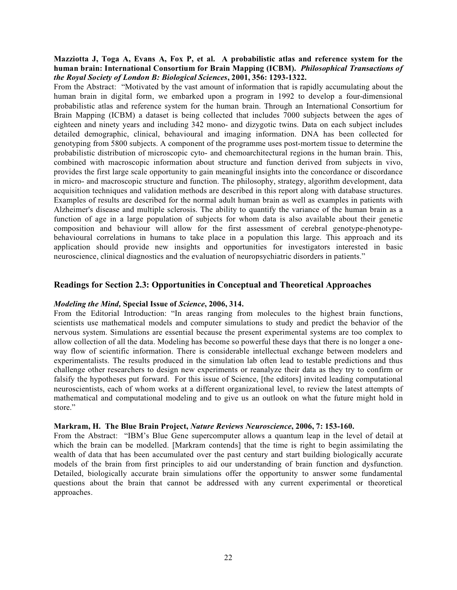#### **Mazziotta J, Toga A, Evans A, Fox P, et al. A probabilistic atlas and reference system for the human brain: International Consortium for Brain Mapping (ICBM).** *Philosophical Transactions of the Royal Society of London B: Biological Sciences***, 2001, 356: 1293-1322.**

From the Abstract: "Motivated by the vast amount of information that is rapidly accumulating about the human brain in digital form, we embarked upon a program in 1992 to develop a four-dimensional probabilistic atlas and reference system for the human brain. Through an International Consortium for Brain Mapping (ICBM) a dataset is being collected that includes 7000 subjects between the ages of eighteen and ninety years and including 342 mono- and dizygotic twins. Data on each subject includes detailed demographic, clinical, behavioural and imaging information. DNA has been collected for genotyping from 5800 subjects. A component of the programme uses post-mortem tissue to determine the probabilistic distribution of microscopic cyto- and chemoarchitectural regions in the human brain. This, combined with macroscopic information about structure and function derived from subjects in vivo, provides the first large scale opportunity to gain meaningful insights into the concordance or discordance in micro- and macroscopic structure and function. The philosophy, strategy, algorithm development, data acquisition techniques and validation methods are described in this report along with database structures. Examples of results are described for the normal adult human brain as well as examples in patients with Alzheimer's disease and multiple sclerosis. The ability to quantify the variance of the human brain as a function of age in a large population of subjects for whom data is also available about their genetic composition and behaviour will allow for the first assessment of cerebral genotype-phenotypebehavioural correlations in humans to take place in a population this large. This approach and its application should provide new insights and opportunities for investigators interested in basic neuroscience, clinical diagnostics and the evaluation of neuropsychiatric disorders in patients."

#### **Readings for Section 2.3: Opportunities in Conceptual and Theoretical Approaches**

#### *Modeling the Mind,* **Special Issue of** *Science***, 2006, 314.**

From the Editorial Introduction: "In areas ranging from molecules to the highest brain functions, scientists use mathematical models and computer simulations to study and predict the behavior of the nervous system. Simulations are essential because the present experimental systems are too complex to allow collection of all the data. Modeling has become so powerful these days that there is no longer a oneway flow of scientific information. There is considerable intellectual exchange between modelers and experimentalists. The results produced in the simulation lab often lead to testable predictions and thus challenge other researchers to design new experiments or reanalyze their data as they try to confirm or falsify the hypotheses put forward. For this issue of Science, [the editors] invited leading computational neuroscientists, each of whom works at a different organizational level, to review the latest attempts of mathematical and computational modeling and to give us an outlook on what the future might hold in store."

#### **Markram, H. The Blue Brain Project,** *Nature Reviews Neuroscience***, 2006, 7: 153-160.**

From the Abstract: "IBM's Blue Gene supercomputer allows a quantum leap in the level of detail at which the brain can be modelled. [Markram contends] that the time is right to begin assimilating the wealth of data that has been accumulated over the past century and start building biologically accurate models of the brain from first principles to aid our understanding of brain function and dysfunction. Detailed, biologically accurate brain simulations offer the opportunity to answer some fundamental questions about the brain that cannot be addressed with any current experimental or theoretical approaches.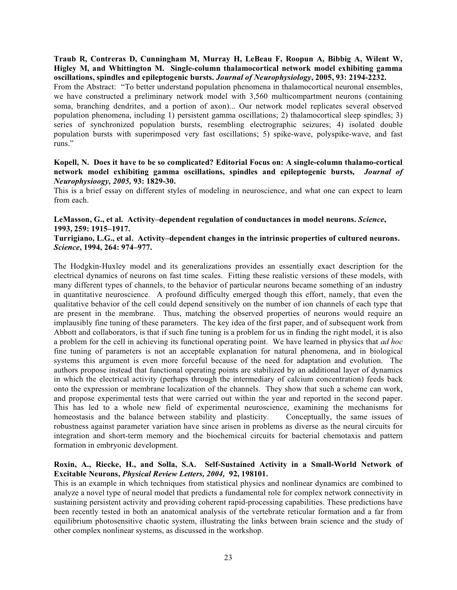#### **Traub R, Contreras D, Cunningham M, Murray H, LeBeau F, Roopun A, Bibbig A, Wilent W, Higley M, and Whittington M. Single-column thalamocortical network model exhibiting gamma oscillations, spindles and epileptogenic bursts.** *Journal of Neurophysiology***, 2005, 93: 2194-2232.**

From the Abstract: "To better understand population phenomena in thalamocortical neuronal ensembles, we have constructed a preliminary network model with 3,560 multicompartment neurons (containing soma, branching dendrites, and a portion of axon)... Our network model replicates several observed population phenomena, including 1) persistent gamma oscillations; 2) thalamocortical sleep spindles; 3) series of synchronized population bursts, resembling electrographic seizures; 4) isolated double population bursts with superimposed very fast oscillations; 5) spike-wave, polyspike-wave, and fast runs."

#### **Kopell, N. Does it have to be so complicated? Editorial Focus on: A single-column thalamo-cortical network model exhibiting gamma oscillations, spindles and epileptogenic bursts***, Journal of Neurophysioogy, 2005,* **93: 1829-30.**

This is a brief essay on different styles of modeling in neuroscience, and what one can expect to learn from each.

#### **LeMasson, G., et al. Activity–dependent regulation of conductances in model neurons.** *Science***, 1993, 259: 1915–1917.**

#### **Turrigiano, L.G., et al. Activity–dependent changes in the intrinsic properties of cultured neurons.** *Science***, 1994, 264: 974–977.**

The Hodgkin-Huxley model and its generalizations provides an essentially exact description for the electrical dynamics of neurons on fast time scales. Fitting these realistic versions of these models, with many different types of channels, to the behavior of particular neurons became something of an industry in quantitative neuroscience. A profound difficulty emerged though this effort, namely, that even the qualitative behavior of the cell could depend sensitively on the number of ion channels of each type that are present in the membrane. Thus, matching the observed properties of neurons would require an implausibly fine tuning of these parameters. The key idea of the first paper, and of subsequent work from Abbott and collaborators, is that if such fine tuning is a problem for us in finding the right model, it is also a problem for the cell in achieving its functional operating point. We have learned in physics that *ad hoc* fine tuning of parameters is not an acceptable explanation for natural phenomena, and in biological systems this argument is even more forceful because of the need for adaptation and evolution. The authors propose instead that functional operating points are stabilized by an additional layer of dynamics in which the electrical activity (perhaps through the intermediary of calcium concentration) feeds back onto the expression or membrane localization of the channels. They show that such a scheme can work, and propose experimental tests that were carried out within the year and reported in the second paper. This has led to a whole new field of experimental neuroscience, examining the mechanisms for homeostasis and the balance between stability and plasticity. Conceptually, the same issues of robustness against parameter variation have since arisen in problems as diverse as the neural circuits for integration and short-term memory and the biochemical circuits for bacterial chemotaxis and pattern formation in embryonic development.

#### **Roxin, A., Riecke, H., and Solla, S.A. Self-Sustained Activity in a Small-World Network of Excitable Neurons,** *Physical Review Letters, 2004,* **92, 198101.**

This is an example in which techniques from statistical physics and nonlinear dynamics are combined to analyze a novel type of neural model that predicts a fundamental role for complex network connectivity in sustaining persistent activity and providing coherent rapid-processing capabilities. These predictions have been recently tested in both an anatomical analysis of the vertebrate reticular formation and a far from equilibrium photosensitive chaotic system, illustrating the links between brain science and the study of other complex nonlinear systems, as discussed in the workshop.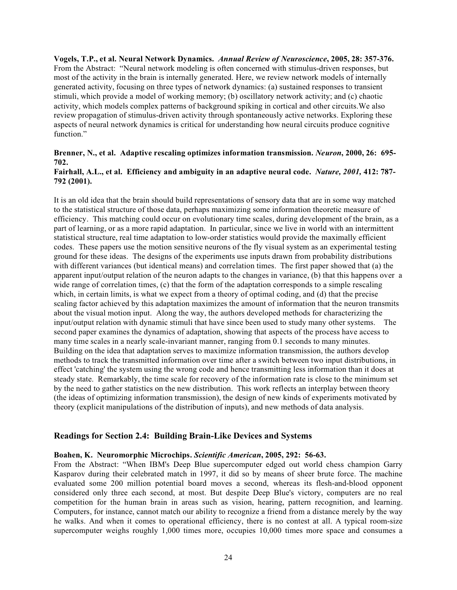**Vogels, T.P., et al. Neural Network Dynamics.** *Annual Review of Neuroscience***, 2005, 28: 357-376.** From the Abstract: "Neural network modeling is often concerned with stimulus-driven responses, but most of the activity in the brain is internally generated. Here, we review network models of internally generated activity, focusing on three types of network dynamics: (a) sustained responses to transient stimuli, which provide a model of working memory; (b) oscillatory network activity; and (c) chaotic activity, which models complex patterns of background spiking in cortical and other circuits.We also review propagation of stimulus-driven activity through spontaneously active networks. Exploring these aspects of neural network dynamics is critical for understanding how neural circuits produce cognitive function."

## **Brenner, N., et al. Adaptive rescaling optimizes information transmission.** *Neuron***, 2000, 26: 695- 702.**

#### **Fairhall, A.L., et al. Efficiency and ambiguity in an adaptive neural code.** *Nature, 2001,* **412: 787- 792 (2001).**

It is an old idea that the brain should build representations of sensory data that are in some way matched to the statistical structure of those data, perhaps maximizing some information theoretic measure of efficiency. This matching could occur on evolutionary time scales, during development of the brain, as a part of learning, or as a more rapid adaptation. In particular, since we live in world with an intermittent statistical structure, real time adaptation to low-order statistics would provide the maximally efficient codes. These papers use the motion sensitive neurons of the fly visual system as an experimental testing ground for these ideas. The designs of the experiments use inputs drawn from probability distributions with different variances (but identical means) and correlation times. The first paper showed that (a) the apparent input/output relation of the neuron adapts to the changes in variance, (b) that this happens over a wide range of correlation times, (c) that the form of the adaptation corresponds to a simple rescaling which, in certain limits, is what we expect from a theory of optimal coding, and (d) that the precise scaling factor achieved by this adaptation maximizes the amount of information that the neuron transmits about the visual motion input. Along the way, the authors developed methods for characterizing the input/output relation with dynamic stimuli that have since been used to study many other systems. The second paper examines the dynamics of adaptation, showing that aspects of the process have access to many time scales in a nearly scale-invariant manner, ranging from 0.1 seconds to many minutes. Building on the idea that adaptation serves to maximize information transmission, the authors develop methods to track the transmitted information over time after a switch between two input distributions, in effect 'catching' the system using the wrong code and hence transmitting less information than it does at steady state. Remarkably, the time scale for recovery of the information rate is close to the minimum set by the need to gather statistics on the new distribution. This work reflects an interplay between theory (the ideas of optimizing information transmission), the design of new kinds of experiments motivated by theory (explicit manipulations of the distribution of inputs), and new methods of data analysis.

#### **Readings for Section 2.4: Building Brain-Like Devices and Systems**

#### **Boahen, K. Neuromorphic Microchips.** *Scientific American***, 2005, 292: 56-63.**

From the Abstract: "When IBM's Deep Blue supercomputer edged out world chess champion Garry Kasparov during their celebrated match in 1997, it did so by means of sheer brute force. The machine evaluated some 200 million potential board moves a second, whereas its flesh-and-blood opponent considered only three each second, at most. But despite Deep Blue's victory, computers are no real competition for the human brain in areas such as vision, hearing, pattern recognition, and learning. Computers, for instance, cannot match our ability to recognize a friend from a distance merely by the way he walks. And when it comes to operational efficiency, there is no contest at all. A typical room-size supercomputer weighs roughly 1,000 times more, occupies 10,000 times more space and consumes a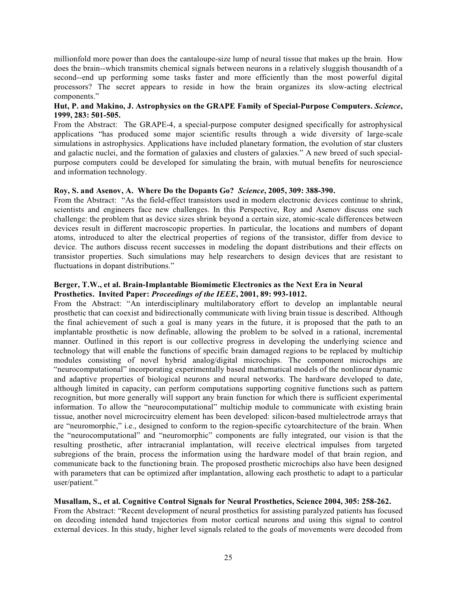millionfold more power than does the cantaloupe-size lump of neural tissue that makes up the brain. How does the brain--which transmits chemical signals between neurons in a relatively sluggish thousandth of a second--end up performing some tasks faster and more efficiently than the most powerful digital processors? The secret appears to reside in how the brain organizes its slow-acting electrical components."

#### **Hut, P. and Makino, J. Astrophysics on the GRAPE Family of Special-Purpose Computers.** *Science***, 1999, 283: 501-505.**

From the Abstract: The GRAPE-4, a special-purpose computer designed specifically for astrophysical applications "has produced some major scientific results through a wide diversity of large-scale simulations in astrophysics. Applications have included planetary formation, the evolution of star clusters and galactic nuclei, and the formation of galaxies and clusters of galaxies." A new breed of such specialpurpose computers could be developed for simulating the brain, with mutual benefits for neuroscience and information technology.

#### **Roy, S. and Asenov, A. Where Do the Dopants Go?** *Science***, 2005, 309: 388-390.**

From the Abstract: "As the field-effect transistors used in modern electronic devices continue to shrink, scientists and engineers face new challenges. In this Perspective, Roy and Asenov discuss one such challenge: the problem that as device sizes shrink beyond a certain size, atomic-scale differences between devices result in different macroscopic properties. In particular, the locations and numbers of dopant atoms, introduced to alter the electrical properties of regions of the transistor, differ from device to device. The authors discuss recent successes in modeling the dopant distributions and their effects on transistor properties. Such simulations may help researchers to design devices that are resistant to fluctuations in dopant distributions."

#### **Berger, T.W., et al. Brain-Implantable Biomimetic Electronics as the Next Era in Neural Prosthetics. Invited Paper:** *Proceedings of the IEEE***, 2001, 89: 993-1012.**

From the Abstract: "An interdisciplinary multilaboratory effort to develop an implantable neural prosthetic that can coexist and bidirectionally communicate with living brain tissue is described. Although the final achievement of such a goal is many years in the future, it is proposed that the path to an implantable prosthetic is now definable, allowing the problem to be solved in a rational, incremental manner. Outlined in this report is our collective progress in developing the underlying science and technology that will enable the functions of specific brain damaged regions to be replaced by multichip modules consisting of novel hybrid analog/digital microchips. The component microchips are "neurocomputational" incorporating experimentally based mathematical models of the nonlinear dynamic and adaptive properties of biological neurons and neural networks. The hardware developed to date, although limited in capacity, can perform computations supporting cognitive functions such as pattern recognition, but more generally will support any brain function for which there is sufficient experimental information. To allow the "neurocomputational" multichip module to communicate with existing brain tissue, another novel microcircuitry element has been developed: silicon-based multielectrode arrays that are "neuromorphic," i.e., designed to conform to the region-specific cytoarchitecture of the brain. When the "neurocomputational" and "neuromorphic" components are fully integrated, our vision is that the resulting prosthetic, after intracranial implantation, will receive electrical impulses from targeted subregions of the brain, process the information using the hardware model of that brain region, and communicate back to the functioning brain. The proposed prosthetic microchips also have been designed with parameters that can be optimized after implantation, allowing each prosthetic to adapt to a particular user/patient."

#### **Musallam, S., et al. Cognitive Control Signals for Neural Prosthetics, Science 2004, 305: 258-262.**

From the Abstract: "Recent development of neural prosthetics for assisting paralyzed patients has focused on decoding intended hand trajectories from motor cortical neurons and using this signal to control external devices. In this study, higher level signals related to the goals of movements were decoded from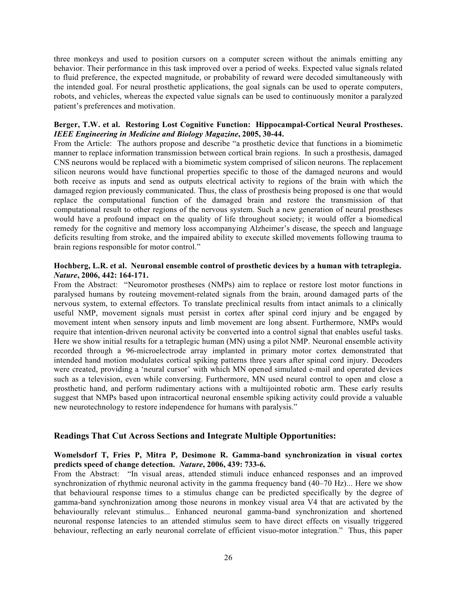three monkeys and used to position cursors on a computer screen without the animals emitting any behavior. Their performance in this task improved over a period of weeks. Expected value signals related to fluid preference, the expected magnitude, or probability of reward were decoded simultaneously with the intended goal. For neural prosthetic applications, the goal signals can be used to operate computers, robots, and vehicles, whereas the expected value signals can be used to continuously monitor a paralyzed patient's preferences and motivation.

#### **Berger, T.W. et al. Restoring Lost Cognitive Function: Hippocampal-Cortical Neural Prostheses.** *IEEE Engineering in Medicine and Biology Magazine***, 2005, 30-44.**

From the Article: The authors propose and describe "a prosthetic device that functions in a biomimetic manner to replace information transmission between cortical brain regions. In such a prosthesis, damaged CNS neurons would be replaced with a biomimetic system comprised of silicon neurons. The replacement silicon neurons would have functional properties specific to those of the damaged neurons and would both receive as inputs and send as outputs electrical activity to regions of the brain with which the damaged region previously communicated. Thus, the class of prosthesis being proposed is one that would replace the computational function of the damaged brain and restore the transmission of that computational result to other regions of the nervous system. Such a new generation of neural prostheses would have a profound impact on the quality of life throughout society; it would offer a biomedical remedy for the cognitive and memory loss accompanying Alzheimer's disease, the speech and language deficits resulting from stroke, and the impaired ability to execute skilled movements following trauma to brain regions responsible for motor control."

#### **Hochberg, L.R. et al. Neuronal ensemble control of prosthetic devices by a human with tetraplegia.** *Nature***, 2006, 442: 164-171.**

From the Abstract: "Neuromotor prostheses (NMPs) aim to replace or restore lost motor functions in paralysed humans by routeing movement-related signals from the brain, around damaged parts of the nervous system, to external effectors. To translate preclinical results from intact animals to a clinically useful NMP, movement signals must persist in cortex after spinal cord injury and be engaged by movement intent when sensory inputs and limb movement are long absent. Furthermore, NMPs would require that intention-driven neuronal activity be converted into a control signal that enables useful tasks. Here we show initial results for a tetraplegic human (MN) using a pilot NMP. Neuronal ensemble activity recorded through a 96-microelectrode array implanted in primary motor cortex demonstrated that intended hand motion modulates cortical spiking patterns three years after spinal cord injury. Decoders were created, providing a 'neural cursor' with which MN opened simulated e-mail and operated devices such as a television, even while conversing. Furthermore, MN used neural control to open and close a prosthetic hand, and perform rudimentary actions with a multijointed robotic arm. These early results suggest that NMPs based upon intracortical neuronal ensemble spiking activity could provide a valuable new neurotechnology to restore independence for humans with paralysis."

#### **Readings That Cut Across Sections and Integrate Multiple Opportunities:**

#### **Womelsdorf T, Fries P, Mitra P, Desimone R. Gamma-band synchronization in visual cortex predicts speed of change detection.** *Nature***, 2006, 439: 733-6.**

From the Abstract: "In visual areas, attended stimuli induce enhanced responses and an improved synchronization of rhythmic neuronal activity in the gamma frequency band (40–70 Hz)... Here we show that behavioural response times to a stimulus change can be predicted specifically by the degree of gamma-band synchronization among those neurons in monkey visual area V4 that are activated by the behaviourally relevant stimulus... Enhanced neuronal gamma-band synchronization and shortened neuronal response latencies to an attended stimulus seem to have direct effects on visually triggered behaviour, reflecting an early neuronal correlate of efficient visuo-motor integration." Thus, this paper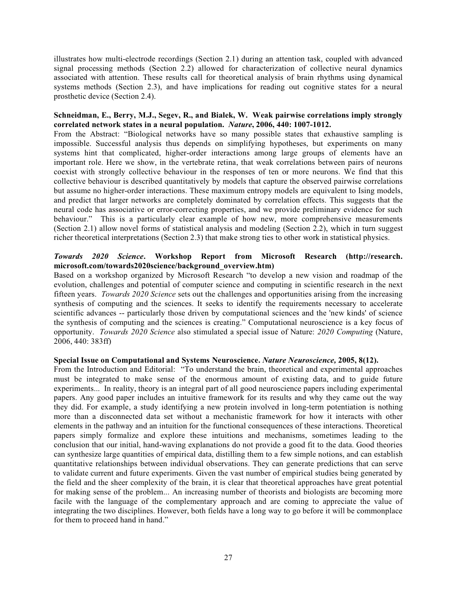illustrates how multi-electrode recordings (Section 2.1) during an attention task, coupled with advanced signal processing methods (Section 2.2) allowed for characterization of collective neural dynamics associated with attention. These results call for theoretical analysis of brain rhythms using dynamical systems methods (Section 2.3), and have implications for reading out cognitive states for a neural prosthetic device (Section 2.4).

#### **Schneidman, E., Berry, M.J., Segev, R., and Bialek, W. Weak pairwise correlations imply strongly correlated network states in a neural population.** *Nature***, 2006, 440: 1007-1012.**

From the Abstract: "Biological networks have so many possible states that exhaustive sampling is impossible. Successful analysis thus depends on simplifying hypotheses, but experiments on many systems hint that complicated, higher-order interactions among large groups of elements have an important role. Here we show, in the vertebrate retina, that weak correlations between pairs of neurons coexist with strongly collective behaviour in the responses of ten or more neurons. We find that this collective behaviour is described quantitatively by models that capture the observed pairwise correlations but assume no higher-order interactions. These maximum entropy models are equivalent to Ising models, and predict that larger networks are completely dominated by correlation effects. This suggests that the neural code has associative or error-correcting properties, and we provide preliminary evidence for such behaviour." This is a particularly clear example of how new, more comprehensive measurements (Section 2.1) allow novel forms of statistical analysis and modeling (Section 2.2), which in turn suggest richer theoretical interpretations (Section 2.3) that make strong ties to other work in statistical physics.

#### *Towards 2020 Science***. Workshop Report from Microsoft Research [\(http://research.](http://research.microsoft.com/towards2020science/background_overview.htm) [microsoft.com/towards2020science/background\\_overview.htm\)](http://research.microsoft.com/towards2020science/background_overview.htm)**

Based on a workshop organized by Microsoft Research "to develop a new vision and roadmap of the evolution, challenges and potential of computer science and computing in scientific research in the next fifteen years. *Towards 2020 Science* sets out the challenges and opportunities arising from the increasing synthesis of computing and the sciences. It seeks to identify the requirements necessary to accelerate scientific advances -- particularly those driven by computational sciences and the 'new kinds' of science the synthesis of computing and the sciences is creating." Computational neuroscience is a key focus of opportunity. *Towards 2020 Science* also stimulated a special issue of Nature: *2020 Computing* (Nature, 2006, 440: 383ff)

#### **Special Issue on Computational and Systems Neuroscience.** *Nature Neuroscience,* **2005, 8(12).**

From the Introduction and Editorial: "To understand the brain, theoretical and experimental approaches must be integrated to make sense of the enormous amount of existing data, and to guide future experiments... In reality, theory is an integral part of all good neuroscience papers including experimental papers. Any good paper includes an intuitive framework for its results and why they came out the way they did. For example, a study identifying a new protein involved in long-term potentiation is nothing more than a disconnected data set without a mechanistic framework for how it interacts with other elements in the pathway and an intuition for the functional consequences of these interactions. Theoretical papers simply formalize and explore these intuitions and mechanisms, sometimes leading to the conclusion that our initial, hand-waving explanations do not provide a good fit to the data. Good theories can synthesize large quantities of empirical data, distilling them to a few simple notions, and can establish quantitative relationships between individual observations. They can generate predictions that can serve to validate current and future experiments. Given the vast number of empirical studies being generated by the field and the sheer complexity of the brain, it is clear that theoretical approaches have great potential for making sense of the problem... An increasing number of theorists and biologists are becoming more facile with the language of the complementary approach and are coming to appreciate the value of integrating the two disciplines. However, both fields have a long way to go before it will be commonplace for them to proceed hand in hand."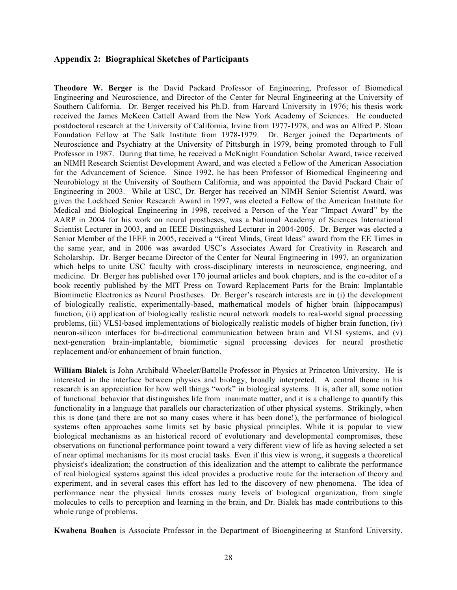#### **Appendix 2: Biographical Sketches of Participants**

**Theodore W. Berger** is the David Packard Professor of Engineering, Professor of Biomedical Engineering and Neuroscience, and Director of the Center for Neural Engineering at the University of Southern California. Dr. Berger received his Ph.D. from Harvard University in 1976; his thesis work received the James McKeen Cattell Award from the New York Academy of Sciences. He conducted postdoctoral research at the University of California, Irvine from 1977-1978, and was an Alfred P. Sloan Foundation Fellow at The Salk Institute from 1978-1979. Dr. Berger joined the Departments of Neuroscience and Psychiatry at the University of Pittsburgh in 1979, being promoted through to Full Professor in 1987. During that time, he received a McKnight Foundation Scholar Award, twice received an NIMH Research Scientist Development Award, and was elected a Fellow of the American Association for the Advancement of Science. Since 1992, he has been Professor of Biomedical Engineering and Neurobiology at the University of Southern California, and was appointed the David Packard Chair of Engineering in 2003. While at USC, Dr. Berger has received an NIMH Senior Scientist Award, was given the Lockheed Senior Research Award in 1997, was elected a Fellow of the American Institute for Medical and Biological Engineering in 1998, received a Person of the Year "Impact Award" by the AARP in 2004 for his work on neural prostheses, was a National Academy of Sciences International Scientist Lecturer in 2003, and an IEEE Distinguished Lecturer in 2004-2005. Dr. Berger was elected a Senior Member of the IEEE in 2005, received a "Great Minds, Great Ideas" award from the EE Times in the same year, and in 2006 was awarded USC's Associates Award for Creativity in Research and Scholarship. Dr. Berger became Director of the Center for Neural Engineering in 1997, an organization which helps to unite USC faculty with cross-disciplinary interests in neuroscience, engineering, and medicine. Dr. Berger has published over 170 journal articles and book chapters, and is the co-editor of a book recently published by the MIT Press on Toward Replacement Parts for the Brain: Implantable Biomimetic Electronics as Neural Prostheses. Dr. Berger's research interests are in (i) the development of biologically realistic, experimentally-based, mathematical models of higher brain (hippocampus) function, (ii) application of biologically realistic neural network models to real-world signal processing problems, (iii) VLSI-based implementations of biologically realistic models of higher brain function, (iv) neuron-silicon interfaces for bi-directional communication between brain and VLSI systems, and (v) next-generation brain-implantable, biomimetic signal processing devices for neural prosthetic replacement and/or enhancement of brain function.

**William Bialek** is John Archibald Wheeler/Battelle Professor in Physics at Princeton University. He is interested in the interface between physics and biology, broadly interpreted. A central theme in his research is an appreciation for how well things "work" in biological systems. It is, after all, some notion of functional behavior that distinguishes life from inanimate matter, and it is a challenge to quantify this functionality in a language that parallels our characterization of other physical systems. Strikingly, when this is done (and there are not so many cases where it has been done!), the performance of biological systems often approaches some limits set by basic physical principles. While it is popular to view biological mechanisms as an historical record of evolutionary and developmental compromises, these observations on functional performance point toward a very different view of life as having selected a set of near optimal mechanisms for its most crucial tasks. Even if this view is wrong, it suggests a theoretical physicist's idealization; the construction of this idealization and the attempt to calibrate the performance of real biological systems against this ideal provides a productive route for the interaction of theory and experiment, and in several cases this effort has led to the discovery of new phenomena. The idea of performance near the physical limits crosses many levels of biological organization, from single molecules to cells to perception and learning in the brain, and Dr. Bialek has made contributions to this whole range of problems.

**Kwabena Boahen** is Associate Professor in the Department of Bioengineering at Stanford University.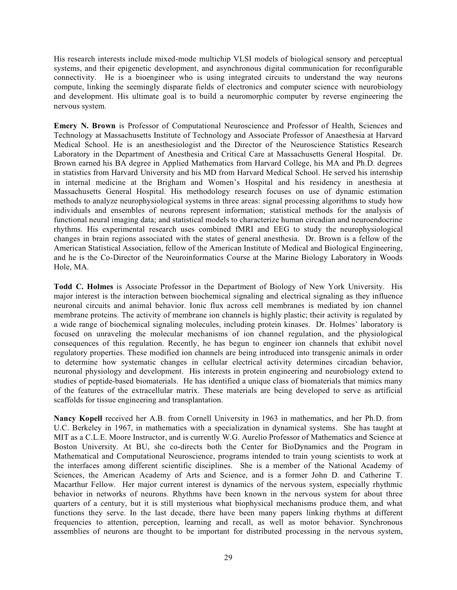His research interests include mixed-mode multichip VLSI models of biological sensory and perceptual systems, and their epigenetic development, and asynchronous digital communication for reconfigurable connectivity. He is a bioengineer who is using integrated circuits to understand the way neurons compute, linking the seemingly disparate fields of electronics and computer science with neurobiology and development. His ultimate goal is to build a neuromorphic computer by reverse engineering the nervous system.

**Emery N. Brown** is Professor of Computational Neuroscience and Professor of Health, Sciences and Technology at Massachusetts Institute of Technology and Associate Professor of Anaesthesia at Harvard Medical School. He is an anesthesiologist and the Director of the Neuroscience Statistics Research Laboratory in the Department of Anesthesia and Critical Care at Massachusetts General Hospital. Dr. Brown earned his BA degree in Applied Mathematics from Harvard College, his MA and Ph.D. degrees in statistics from Harvard University and his MD from Harvard Medical School. He served his internship in internal medicine at the Brigham and Women's Hospital and his residency in anesthesia at Massachusetts General Hospital. His methodology research focuses on use of dynamic estimation methods to analyze neurophysiological systems in three areas: signal processing algorithms to study how individuals and ensembles of neurons represent information; statistical methods for the analysis of functional neural imaging data; and statistical models to characterize human circadian and neuroendocrine rhythms. His experimental research uses combined fMRI and EEG to study the neurophysiological changes in brain regions associated with the states of general anesthesia. Dr. Brown is a fellow of the American Statistical Association, fellow of the American Institute of Medical and Biological Engineering, and he is the Co-Director of the Neuroinformatics Course at the Marine Biology Laboratory in Woods Hole, MA.

**Todd C. Holmes** is Associate Professor in the Department of Biology of New York University. His major interest is the interaction between biochemical signaling and electrical signaling as they influence neuronal circuits and animal behavior. Ionic flux across cell membranes is mediated by ion channel membrane proteins. The activity of membrane ion channels is highly plastic; their activity is regulated by a wide range of biochemical signaling molecules, including protein kinases. Dr. Holmes' laboratory is focused on unraveling the molecular mechanisms of ion channel regulation, and the physiological consequences of this regulation. Recently, he has begun to engineer ion channels that exhibit novel regulatory properties. These modified ion channels are being introduced into transgenic animals in order to determine how systematic changes in cellular electrical activity determines circadian behavior, neuronal physiology and development. His interests in protein engineering and neurobiology extend to studies of peptide-based biomaterials. He has identified a unique class of biomaterials that mimics many of the features of the extracellular matrix. These materials are being developed to serve as artificial scaffolds for tissue engineering and transplantation.

**Nancy Kopell** received her A.B. from Cornell University in 1963 in mathematics, and her Ph.D. from U.C. Berkeley in 1967, in mathematics with a specialization in dynamical systems. She has taught at MIT as a C.L.E. Moore Instructor, and is currently W.G. Aurelio Professor of Mathematics and Science at Boston University. At BU, she co-directs both the Center for BioDynamics and the Program in Mathematical and Computational Neuroscience, programs intended to train young scientists to work at the interfaces among different scientific disciplines. She is a member of the National Academy of Sciences, the American Academy of Arts and Science, and is a former John D. and Catherine T. Macarthur Fellow. Her major current interest is dynamics of the nervous system, especially rhythmic behavior in networks of neurons. Rhythms have been known in the nervous system for about three quarters of a century, but it is still mysterious what biophysical mechanisms produce them, and what functions they serve. In the last decade, there have been many papers linking rhythms at different frequencies to attention, perception, learning and recall, as well as motor behavior. Synchronous assemblies of neurons are thought to be important for distributed processing in the nervous system,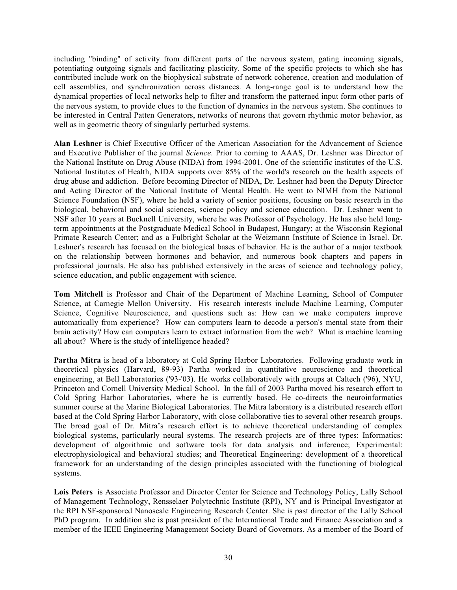including "binding" of activity from different parts of the nervous system, gating incoming signals, potentiating outgoing signals and facilitating plasticity. Some of the specific projects to which she has contributed include work on the biophysical substrate of network coherence, creation and modulation of cell assemblies, and synchronization across distances. A long-range goal is to understand how the dynamical properties of local networks help to filter and transform the patterned input form other parts of the nervous system, to provide clues to the function of dynamics in the nervous system. She continues to be interested in Central Patten Generators, networks of neurons that govern rhythmic motor behavior, as well as in geometric theory of singularly perturbed systems.

**Alan Leshner** is Chief Executive Officer of the American Association for the Advancement of Science and Executive Publisher of the journal *Science*. Prior to coming to AAAS, Dr. Leshner was Director of the National Institute on Drug Abuse (NIDA) from 1994-2001. One of the scientific institutes of the U.S. National Institutes of Health, NIDA supports over 85% of the world's research on the health aspects of drug abuse and addiction. Before becoming Director of NIDA, Dr. Leshner had been the Deputy Director and Acting Director of the National Institute of Mental Health. He went to NIMH from the National Science Foundation (NSF), where he held a variety of senior positions, focusing on basic research in the biological, behavioral and social sciences, science policy and science education. Dr. Leshner went to NSF after 10 years at Bucknell University, where he was Professor of Psychology. He has also held longterm appointments at the Postgraduate Medical School in Budapest, Hungary; at the Wisconsin Regional Primate Research Center; and as a Fulbright Scholar at the Weizmann Institute of Science in Israel. Dr. Leshner's research has focused on the biological bases of behavior. He is the author of a major textbook on the relationship between hormones and behavior, and numerous book chapters and papers in professional journals. He also has published extensively in the areas of science and technology policy, science education, and public engagement with science.

**Tom Mitchell** is Professor and Chair of the Department of Machine Learning, School of Computer Science, at Carnegie Mellon University. His research interests include Machine Learning, Computer Science, Cognitive Neuroscience, and questions such as: How can we make computers improve automatically from experience? How can computers learn to decode a person's mental state from their brain activity? How can computers learn to extract information from the web? What is machine learning all about? Where is the study of intelligence headed?

**Partha Mitra** is head of a laboratory at Cold Spring Harbor Laboratories. Following graduate work in theoretical physics (Harvard, 89-93) Partha worked in quantitative neuroscience and theoretical engineering, at Bell Laboratories ('93-'03). He works collaboratively with groups at Caltech ('96), NYU, Princeton and Cornell University Medical School. In the fall of 2003 Partha moved his research effort to Cold Spring Harbor Laboratories, where he is currently based. He co-directs the neuroinformatics summer course at the Marine Biological Laboratories. The Mitra laboratory is a distributed research effort based at the Cold Spring Harbor Laboratory, with close collaborative ties to several other research groups. The broad goal of Dr. Mitra's research effort is to achieve theoretical understanding of complex biological systems, particularly neural systems. The research projects are of three types: Informatics: development of algorithmic and software tools for data analysis and inference; Experimental: electrophysiological and behavioral studies; and Theoretical Engineering: development of a theoretical framework for an understanding of the design principles associated with the functioning of biological systems.

**Lois Peters** is Associate Professor and Director Center for Science and Technology Policy, Lally School of Management Technology, Rensselaer Polytechnic Institute (RPI), NY and is Principal Investigator at the RPI NSF-sponsored Nanoscale Engineering Research Center. She is past director of the Lally School PhD program. In addition she is past president of the International Trade and Finance Association and a member of the IEEE Engineering Management Society Board of Governors. As a member of the Board of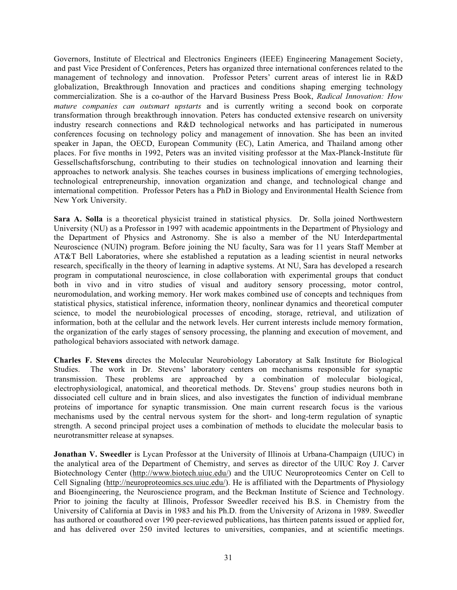Governors, Institute of Electrical and Electronics Engineers (IEEE) Engineering Management Society, and past Vice President of Conferences, Peters has organized three international conferences related to the management of technology and innovation. Professor Peters' current areas of interest lie in R&D globalization, Breakthrough Innovation and practices and conditions shaping emerging technology commercialization. She is a co-author of the Harvard Business Press Book, *Radical Innovation: How mature companies can outsmart upstarts* and is currently writing a second book on corporate transformation through breakthrough innovation. Peters has conducted extensive research on university industry research connections and R&D technological networks and has participated in numerous conferences focusing on technology policy and management of innovation. She has been an invited speaker in Japan, the OECD, European Community (EC), Latin America, and Thailand among other places. For five months in 1992, Peters was an invited visiting professor at the Max-Planck-Institute für Gessellschaftsforschung, contributing to their studies on technological innovation and learning their approaches to network analysis. She teaches courses in business implications of emerging technologies, technological entrepreneurship, innovation organization and change, and technological change and international competition. Professor Peters has a PhD in Biology and Environmental Health Science from New York University.

**Sara A. Solla** is a theoretical physicist trained in statistical physics. Dr. Solla joined Northwestern University (NU) as a Professor in 1997 with academic appointments in the Department of Physiology and the Department of Physics and Astronomy. She is also a member of the NU Interdepartmental Neuroscience (NUIN) program. Before joining the NU faculty, Sara was for 11 years Staff Member at AT&T Bell Laboratories, where she established a reputation as a leading scientist in neural networks research, specifically in the theory of learning in adaptive systems. At NU, Sara has developed a research program in computational neuroscience, in close collaboration with experimental groups that conduct both in vivo and in vitro studies of visual and auditory sensory processing, motor control, neuromodulation, and working memory. Her work makes combined use of concepts and techniques from statistical physics, statistical inference, information theory, nonlinear dynamics and theoretical computer science, to model the neurobiological processes of encoding, storage, retrieval, and utilization of information, both at the cellular and the network levels. Her current interests include memory formation, the organization of the early stages of sensory processing, the planning and execution of movement, and pathological behaviors associated with network damage.

**Charles F. Stevens** directes the Molecular Neurobiology Laboratory at Salk Institute for Biological Studies. The work in Dr. Stevens' laboratory centers on mechanisms responsible for synaptic transmission. These problems are approached by a combination of molecular biological, electrophysiological, anatomical, and theoretical methods. Dr. Stevens' group studies neurons both in dissociated cell culture and in brain slices, and also investigates the function of individual membrane proteins of importance for synaptic transmission. One main current research focus is the various mechanisms used by the central nervous system for the short- and long-term regulation of synaptic strength. A second principal project uses a combination of methods to elucidate the molecular basis to neurotransmitter release at synapses.

**Jonathan V. Sweedler** is Lycan Professor at the University of Illinois at Urbana-Champaign (UIUC) in the analytical area of the Department of Chemistry, and serves as director of the UIUC Roy J. Carver Biotechnology Center ([http://www.biotech.uiuc.edu/\) an](http://www.biotech.uiuc.edu)d the UIUC Neuroproteomics Center on Cell to Cell Signaling [\(http://neuroproteomics.scs.uiuc.edu/\). H](http://neuroproteomics.scs.uiuc.edu)e is affiliated with the Departments of Physiology and Bioengineering, the Neuroscience program, and the Beckman Institute of Science and Technology. Prior to joining the faculty at Illinois, Professor Sweedler received his B.S. in Chemistry from the University of California at Davis in 1983 and his Ph.D. from the University of Arizona in 1989. Sweedler has authored or coauthored over 190 peer-reviewed publications, has thirteen patents issued or applied for, and has delivered over 250 invited lectures to universities, companies, and at scientific meetings.